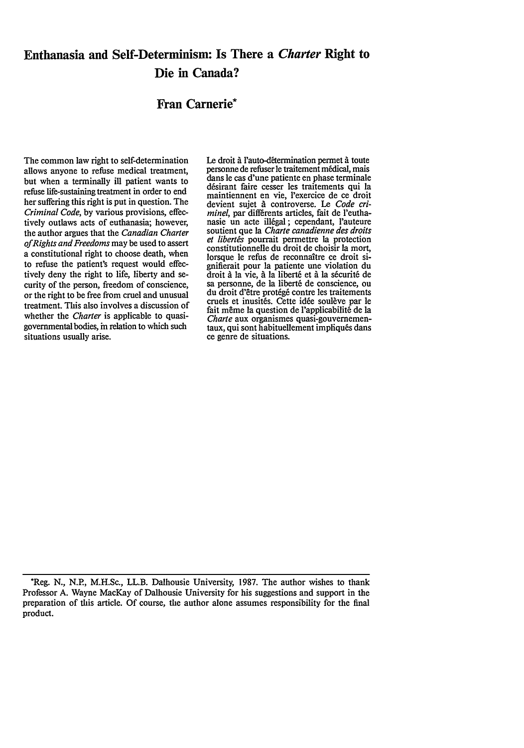# Euthanasia and Self-Determinism: Is There a *Charter* Right to Die in Canada?

## Fran Carnerie\*

The common law right to self-determination allows anyone to refuse medical treatment, but when a terminally ill patient wants to refuse life-sustaining treatment in order to end her suffering this right is put in question. The *Criminal Code,* by various provisions, effectively outlaws acts of euthanasia; however, the author argues that the *Canadian Charter ofRights and Freedoms* may be used to assert a constitutional right to choose death, when to refuse the patient's request would effectively deny the right to life, liberty and security of the person, freedom of conscience, or the right to be free from cruel and unusual treatment. This also involves a discussion of whether the *Charter* is applicable to quasigovernmental bodies, in relation to which such situations usually arise.

Le droit à l'auto-détermination permet à toute personne de refuser le traitement médical, mais dans le cas d'une patiente en phase terminale désirant faire cesser les traitements qui la maintiennent en vie, 'exercice de ce droit devient sujet *A* controverse. Le *Code criminel*, par différents articles, fait de l'euthanasie un acte illégal; cependant, l'auteure soutient que la *Charte canadienne des droits et libert&s* pourrait permettre la protection constitutionnelle du droit de choisir la mort, lorsque le refus de reconnaître ce droit signifierait pour la patiente une violation du droit *A* ]a vie, *A* la libert6 et *A* la sfcurit6 de sa personne, de ]a libert6 de conscience, ou du droit d'être protégé contre les traitements cruels et inusités. Cette idée soulève par le fait même la question de l'applicabilité de la *Charte* aux organismes quasi-gouvemementaux, qui sont habituellement impliqufs dans ce genre de situations.

<sup>\*</sup>Reg. **N.,** N.P., M.H.Sc., LL.B. Dalhousie University, 1987. The author wishes to thank Professor A. Wayne MacKay of Dalhousie University for his suggestions and support in the preparation of this article. Of course, the author alone assumes responsibility for the final product.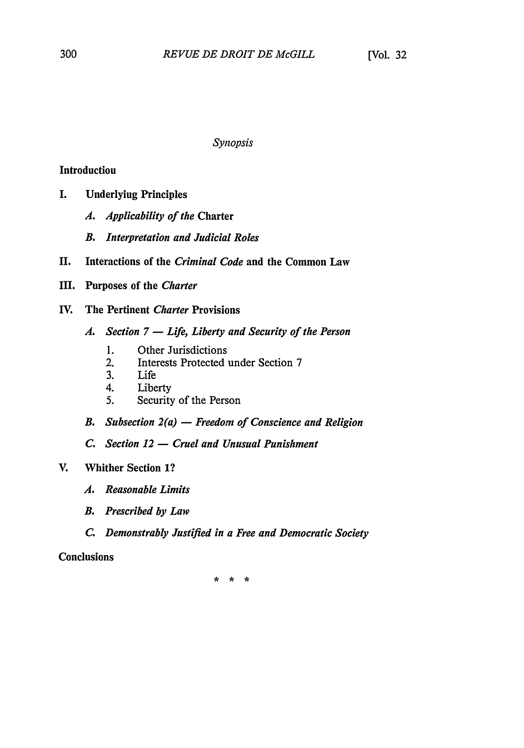### *Synopsis*

## Introduction

- I. Underlying Principles
	- *A. Applicability of the* Charter
	- *B. Interpretation and Judicial Roles*
- **II.** Interactions of the *Criminal Code* and the Common Law
- **III.** Purposes of the *Charter*
- IV. The Pertinent *Charter* Provisions
	- *A. Section 7* **-** *Life, Liberty and Security of the Person*
		- **1.** Other Jurisdictions
		- 2. Interests Protected under Section **7**
		- **3.** Life
		- 4. Liberty
		- *5.* Security of the Person
	- *B. Subsection 2(a)* **-** *Freedom of Conscience and Religion*
	- *C. Section 12* **-** *Cruel and Unusual Punishment*

## V. Whither Section **1?**

- *A. Reasonable Limits*
- *B. Prescribed by Law*
- *C. Demonstrably Justified in a Free and Democratic Society*

## Conclusions

\* \* \*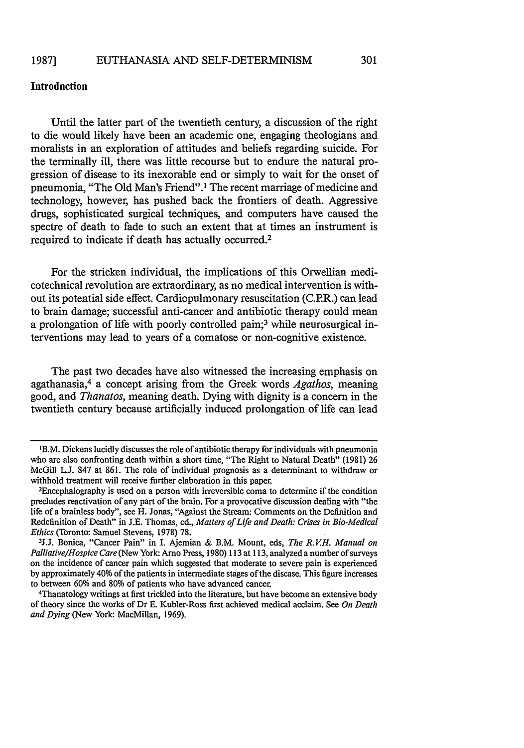## **Introduction**

Until the latter part of the twentieth century, a discussion of the right to die would likely have been an academic one, engaging theologians and moralists in an exploration of attitudes and beliefs regarding suicide. For the terminally ill, there was little recourse but to endure the natural progression of disease to its inexorable end or simply to wait for the onset of pneumonia, "The Old Man's Friend".I The recent marriage of medicine and technology, however, has pushed back the frontiers of death. Aggressive drugs, sophisticated surgical techniques, and computers have caused the spectre of death to fade to such an extent that at times an instrument is required to indicate if death has actually occurred.<sup>2</sup>

For the stricken individual, the implications of this Orwellian medicotechnical revolution are extraordinary, as no medical intervention is without its potential side effect. Cardiopulmonary resuscitation (C.P.R.) can lead to brain damage; successful anti-cancer and antibiotic therapy could mean a prolongation of life with poorly controlled pain;<sup>3</sup> while neurosurgical interventions may lead to years of a comatose or non-cognitive existence.

The past two decades have also witnessed the increasing emphasis on agathanasia, 4 a concept arising from the Greek words *Agathos,* meaning good, and *Thanatos,* meaning death. Dying with dignity is a concern in the twentieth century because artificially induced prolongation of life can lead

<sup>&#</sup>x27;B.M. Dickens lucidly discusses the role of antibiotic therapy for individuals with pneumonia who are also confronting death within a short time, "The Right to Natural Death" (1981) 26 McGill L.J. 847 at 861. The role of individual prognosis as a determinant to withdraw or withhold treatment will receive further elaboration in this paper.

Encephalography is used on a person with irreversible coma to determine if the condition precludes reactivation of any part of the brain. For a provocative discussion dealing with "the life of a brainless body", see H. Jonas, "Against the Stream: Comments on the Definition and Redefinition of Death" in J.E. Thomas, ed., *Matters of Life and Death: Crises in Bio-Medical Ethics* (Toronto: Samuel Stevens, 1978) 78.

**<sup>3</sup>J.j.** Bonica, "Cancer Pain" in I. Ajemian & B.M. Mount, eds, *The R. VH. Manual on Palliative/Hospice Care* (New York: Arno Press, 1980) 113 at 113, analyzed a number of surveys on the incidence of cancer pain which suggested that moderate to severe pain is experienced by approximately 40% of the patients in intermediate stages of the disease. This figure increases to between 60% and 80% of patients who have advanced cancer. <sup>4</sup>

Thanatology writings at first trickled into the literature, but have become an extensive body of theory since the works of Dr E. Kubler-Ross first achieved medical acclaim. See *On Death and Dying* (New York: MacMillan, 1969).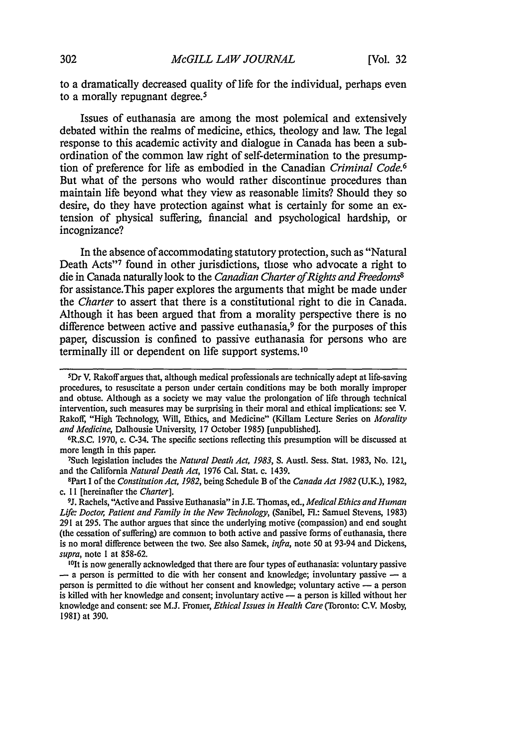to a dramatically decreased quality of life for the individual, perhaps even to a morally repugnant degree.<sup>5</sup>

Issues of euthanasia are among the most polemical and extensively debated within the realms of medicine, ethics, theology and law. The legal response to this academic activity and dialogue in Canada has been a subordination of the common law right of self-determination to the presumption of preference for life as embodied in the Canadian *Criminal Code.6* But what of the persons who would rather discontinue procedures than maintain life beyond what they view as reasonable limits? Should they so desire, do they have protection against what is certainly for some an extension of physical suffering, financial and psychological hardship, or incognizance?

In the absence of accommodating statutory protection, such as "Natural Death Acts<sup>37</sup> found in other jurisdictions, those who advocate a right to die in Canada naturally look to the *Canadian Charter of Rights and Freedoms*<sup>8</sup> for assistance.This paper explores the arguments that might be made under the *Charter* to assert that there is a constitutional right to die in Canada. Although it has been argued that from a morality perspective there is no difference between active and passive euthanasia, $9$  for the purposes of this paper, discussion is confined to passive euthanasia for persons who are terminally ill or dependent on life support systems. **10**

R.S.C. 1970, c. C-34. The specific sections reflecting this presumption will be discussed at more length in this paper.

Such legislation includes the *Natural Death Act, 1983,* **S.** Austl. Sess. Stat. 1983, No. 121., and the California *Natural Death Act,* 1976 Cal. Stat. c. 1439.

8 Part I of the *Constitution Act, 1982,* being Schedule B of the *Canada Act 1982* (U.K.), 1982, c. **I** 1 [hereinafter the *Charter].*

<sup>9</sup>J. Rachels, "Active and Passive Euthanasia" in J.E. Thomas, ed., *Medical Ethics and Human* Life: *Doctor, Patient and Family in the New Technology,* (Sanibel, Fl.: Samuel Stevens, 1983) 291 at 295. The author argues that since the underlying motive (compassion) and end sought (the cessation of suffering) are common to both active and passive forms of euthanasia, there is no moral difference between the two. See also Samek, *infra,* note 50 at 93-94 and Dickens, *supra,* note I at 858-62.

'Olt is now generally acknowledged that there are four types of euthanasia: voluntary passive -- a person is permitted to die with her consent and knowledge; involuntary passive -- a person is permitted to die without her consent and knowledge; voluntary active - a person is killed with her knowledge and consent; involuntary active - a person is killed without her knowledge and consent: see M.J. Fromer, *Ethical Issues in Health Care* (Toronto: C.V. Mosby, 1981) at 390.

<sup>5</sup> Dr V. Rakoff argues that, although medical professionals are technically adept at life-saving procedures, to resuscitate a person under certain conditions may be both morally improper and obtuse. Although as a society we may value the prolongation of life through technical intervention, such measures may be surprising in their moral and ethical implications: see V. Rakoff, "High Technology, Will, Ethics, and Medicine" (Killam Lecture Series on *Morality and Medicine,* Dalhousie University, 17 October 1985) [unpublished]. <sup>6</sup>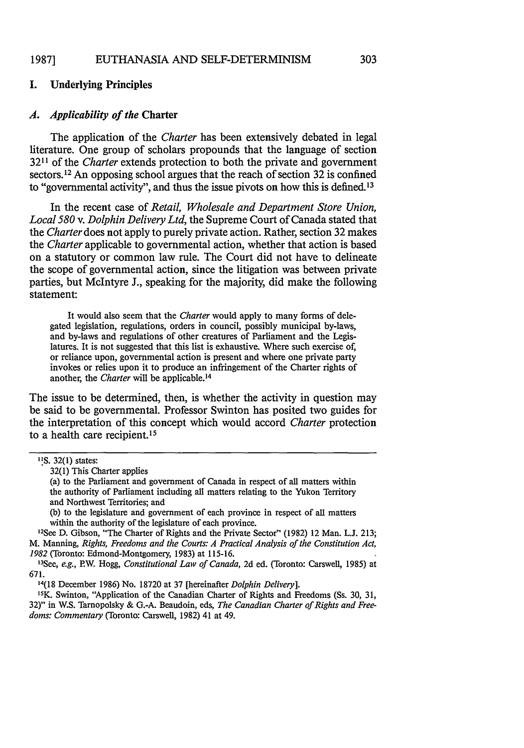#### EUTHANASIA AND SELF-DETERMINISM **1987]**

## I. Underlying Principles

### *A. Applicability of the* Charter

The application of the *Charter* has been extensively debated in legal literature. One group of scholars propounds that the language of section **3211** of the *Charter* extends protection to both the private and government sectors.<sup>12</sup> An opposing school argues that the reach of section 32 is confined to "governmental activity", and thus the issue pivots on how this is defined.<sup>13</sup>

In the recent case of *Retail, Wholesale and Department Store Union, Local 580 v. Dolphin Delivery Ltd,* the Supreme Court of Canada stated that the *Charter* does not apply to purely private action. Rather, section **32** makes the *Charter* applicable to governmental action, whether that action is based on a statutory or common law rule. The Court did not have to delineate the scope of governmental action, since the litigation was between private parties, but McIntyre **J.,** speaking for the majority, did make the following statement:

It would also seem that the *Charter* would apply to many forms of delegated legislation, regulations, orders in council, possibly municipal by-laws, and by-laws and regulations of other creatures of Parliament and the Legislatures. It is not suggested that this list is exhaustive. Where such exercise of, or reliance upon, governmental action is present and where one private party invokes or relies upon it to produce an infringement of the Charter rights of another, the *Charter* will be applicable.<sup>14</sup>

The issue to be determined, then, is whether the activity in question may be said to be governmental. Professor Swinton has posited two guides for the interpretation of this concept which would accord *Charter* protection to a health care recipient.<sup>15</sup>

**(b)** to the legislature and government of each province in respect of all matters within the authority of the legislature of each province.

1 2 See **D.** Gibson, "The Charter of Rights and the Private Sector" **(1982)** 12 Man. **L.J. 213;** M. Manning, *Rights, Freedoms and the Courts: A Practical Analysis of the Constitution Act, 1982* (Toronto: Edmond-Montgomery, **1983)** at **115-16.**

' 5K. Swinton, "Application of the Canadian Charter of Rights and Freedoms (Ss. **30, 31, 32)"** in W.S. Tarnopolsky **& G.-A.** Beaudoin, eds, *The Canadian Charter of Rights and Freedoms: Commentary* (Toronto: Carswell, **1982)** 41 at 49.

**<sup>&#</sup>x27;IS. 32(1)** states:

**<sup>32(1)</sup>** This Charter applies

<sup>(</sup>a) to the Parliament and government of Canada in respect of all matters within the authority of Parliament including all matters relating to the Yukon Territory and Northwest Territories; and

<sup>1</sup> 3 See, *e.g.,* **P.W.** Hogg, *Constitutional Law of Canada,* **2d** ed. (Toronto: Carswell, **1985)** at **671.**

**<sup>14(18</sup>** December **1986)** No. **18720** at **37** [hereinafter *Dolphin Delivery].*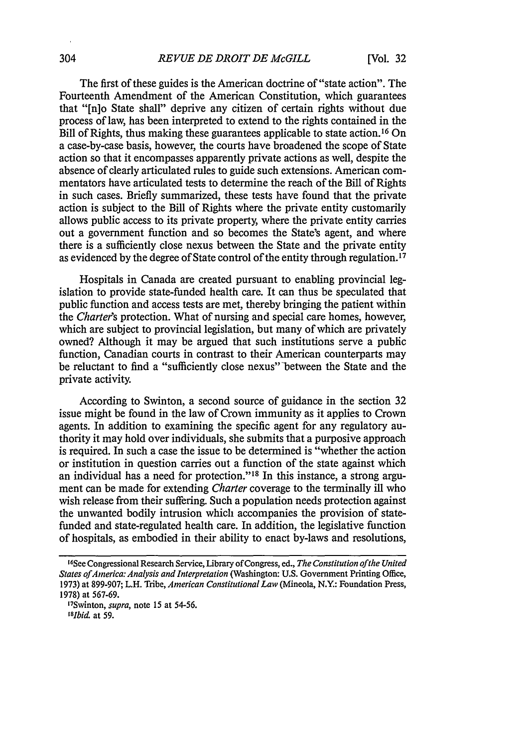The first of these guides is the American doctrine of "state action". The Fourteenth Amendment of the American Constitution, which guarantees that "[n]o State shall" deprive any citizen of certain rights without due process of law, has been interpreted to extend to the rights contained in the Bill of Rights, thus making these guarantees applicable to state action.<sup>16</sup> On a case-by-case basis, however, the courts have broadened the scope of State action so that it encompasses apparently private actions as well, despite the absence of clearly articulated rules to guide such extensions. American commentators have articulated tests to determine the reach of the Bill of Rights in such cases. Briefly summarized, these tests have found that the private action is subject to the Bill of Rights where the private entity customarily allows public access to its private property, where the private entity carries out a government function and so becomes the State's agent, and where there is a sufficiently close nexus between the State and the private entity as evidenced by the degree of State control of the entity through regulation.<sup>17</sup>

Hospitals in Canada are created pursuant to enabling provincial legislation to provide state-funded health care. It can thus be speculated that public function and access tests are met, thereby bringing the patient within the *Charter's* protection. What of nursing and special care homes, however, which are subject to provincial legislation, but many of which are privately owned? Although it may be argued that such institutions serve a public function, Canadian courts in contrast to their American counterparts may be reluctant to find a "sufficiently close nexus" between the State and the private activity.

According to Swinton, a second source of guidance in the section 32 issue might be found in the law of Crown immunity as it applies to Crown agents. In addition to examining the specific agent for any regulatory authority it may hold over individuals, she submits that a purposive approach is required. In such a case the issue to be determined is "whether the action or institution in question carries out a function of the state against which an individual has a need for protection."<sup>18</sup> In this instance, a strong argument can be made for extending *Charter* coverage to the terminally ill who wish release from their suffering. Such a population needs protection against the unwanted bodily intrusion which accompanies the provision of statefunded and state-regulated health care. In addition, the legislative function of hospitals, as embodied in their ability to enact by-laws and resolutions,

<sup>1</sup> 6See Congressional Research Service, Library ofCongress, ed., *The Constitution ofthe United States ofAnerica: Analysis and Interpretation* (Washington: U.S. Government Printing Office, 1973) at 899-907; L.H. Tribe, *American Constitutional Law* (Mineola, N.Y.: Foundation Press, 1978) at 567-69.

I7Swinton, *supra,* note 15 at 54-56. *1I8bid,* at 59.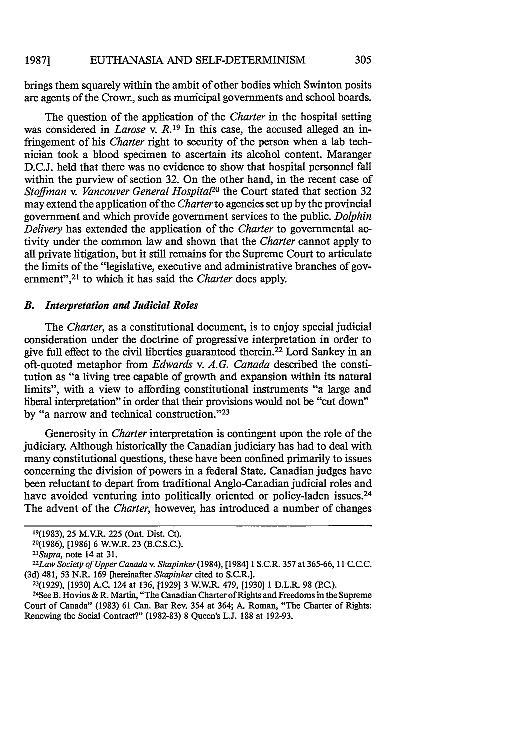brings them squarely within the ambit of other bodies which Swinton posits are agents of the Crown, such as municipal governments and school boards.

The question of the application of the *Charter* in the hospital setting was considered in *Larose* v. R.<sup>19</sup> In this case, the accused alleged an infringement of his *Charter* right to security of the person when a lab technician took a blood specimen to ascertain its alcohol content. Maranger D.C.J. held that there was no evidence to show that hospital personnel fall within the purview of section 32. On the other hand, in the recent case of *Stoffman v. Vancouver General Hospital20* the Court stated that section 32 may extend the application of the *Charter* to agencies set up by the provincial government and which provide government services to the public. *Dolphin Delivery* has extended the application of the *Charter* to governmental activity under the common law and shown that the *Charter* cannot apply to all private litigation, but it still remains for the Supreme Court to articulate the limits of the "legislative, executive and administrative branches of government",<sup>21</sup> to which it has said the *Charter* does apply.

### *B. Interpretation and Judicial Roles*

The *Charter,* as a constitutional document, is to enjoy special judicial consideration under the doctrine of progressive interpretation in order to give full effect to the civil liberties guaranteed therein.22 Lord Sankey in an oft-quoted metaphor from *Edwards v. A.G. Canada* described the constitution as "a living tree capable of growth and expansion within its natural limits", with a view to affording constitutional instruments "a large and liberal interpretation" in order that their provisions would not be "cut down" by "a narrow and technical construction."<sup>23</sup>

Generosity in *Charter* interpretation is contingent upon the role of the judiciary. Although historically the Canadian judiciary has had to deal with many constitutional questions, these have been confined primarily to issues concerning the division of powers in a federal State. Canadian judges have been reluctant to depart from traditional Anglo-Canadian judicial roles and have avoided venturing into politically oriented or policy-laden issues.<sup>24</sup> The advent of the *Charter,* however, has introduced a number of changes

<sup>19(1983), 25</sup> M.V.R. 225 (Ont. Dist. Ct).

<sup>20(1986), [1986] 6</sup> W.W.R. 23 (B.C.S.C.).

*<sup>21</sup> Supra,* note 14 at 31. *<sup>22</sup>*

*Law Society of Upper Canada v. Skapinker(1984),* [1984] 1 S.C.R. 357 at 365-66, 11 C.C.C. (3d) 481, 53 N.R. 169 [hereinafter *Skapinker* cited to S.C.R.].

<sup>23(1929), [1930]</sup> A.C. 124 at 136, [1929] 3 W.W.R. 479, [1930] **1** D.L.R. 98 (PC.). <sup>24</sup>

<sup>&</sup>lt;sup>24</sup>See B. Hovius & R. Martin, "The Canadian Charter of Rights and Freedoms in the Supreme Court of Canada" (1983) 61 Can. Bar Rev. 354 at 364; A. Roman, "The Charter of Rights: Renewing the Social Contract?" (1982-83) 8 Queen's L.J. 188 at 192-93.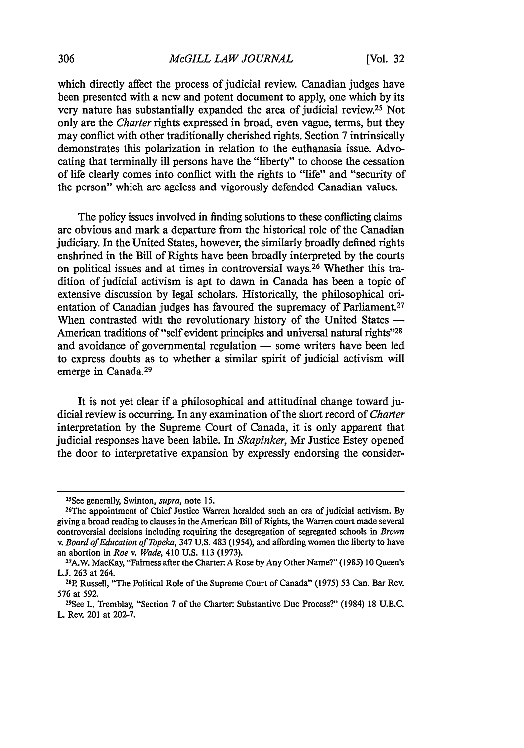which directly affect the process of judicial review. Canadian judges have been presented with a new and potent document to apply, one which by its very nature has substantially expanded the area of judicial review.25 Not only are the *Charter* rights expressed in broad, even vague, terms, but they may conflict with other traditionally cherished rights. Section 7 intrinsically demonstrates this polarization in relation to the euthanasia issue. Advocating that terminally ill persons have the "liberty" to choose the cessation of life clearly comes into conflict with the rights to "life" and "security of the person" which are ageless and vigorously defended Canadian values.

The policy issues involved in finding solutions to these conflicting claims are obvious and mark a departure from the historical role of the Canadian judiciary. In the United States, however, the similarly broadly defined rights enshrined in the Bill of Rights have been broadly interpreted by the courts on political issues and at times in controversial ways.26 Whether this tradition of judicial activism is apt to dawn in Canada has been a topic of extensive discussion by legal scholars. Historically, the philosophical orientation of Canadian judges has favoured the supremacy of Parliament.<sup>27</sup> When contrasted with the revolutionary history of the United States  $-$ American traditions of "self evident principles and universal natural **rights"<sup>28</sup>** and avoidance of governmental regulation - some writers have been led to express doubts as to whether a similar spirit of judicial activism will emerge in Canada.<sup>29</sup>

It is not yet clear if a philosophical and attitudinal change toward judicial review is occurring. In any examination of the short record of *Charter* interpretation by the Supreme Court of Canada, it is only apparent that judicial responses have been labile. In *Skapinker,* Mr Justice Estey opened the door to interpretative expansion by expressly endorsing the consider-

<sup>25</sup> See generally, Swinton, *supra,* note 15.

<sup>2</sup> 6 The appointment of Chief Justice Warren heralded such an era of judicial activism. By giving a broad reading to clauses in the American Bill of Rights, the Warren court made several controversial decisions including requiring the desegregation of segregated schools in *Brown v. Board of Education of Topeka,* 347 U.S. 483 (1954), and affording women the liberty to have an abortion in *Roe v. Wade*, 410 U.S. 113 (1973).

A.W. MacKay, "Fairness after the Charter- A Rose by Any Other Name?" (1985) **10** Queen's L.J. 263 at 264.

<sup>&</sup>lt;sup>28</sup>P. Russell, "The Political Role of the Supreme Court of Canada" (1975) 53 Can. Bar Rev. 576 at 592.

<sup>29</sup> See L. Tremblay, "Section 7 of the Charter Substantive Due Process?" (1984) 18 U.B.C. L. Rev. 201 at 202-7.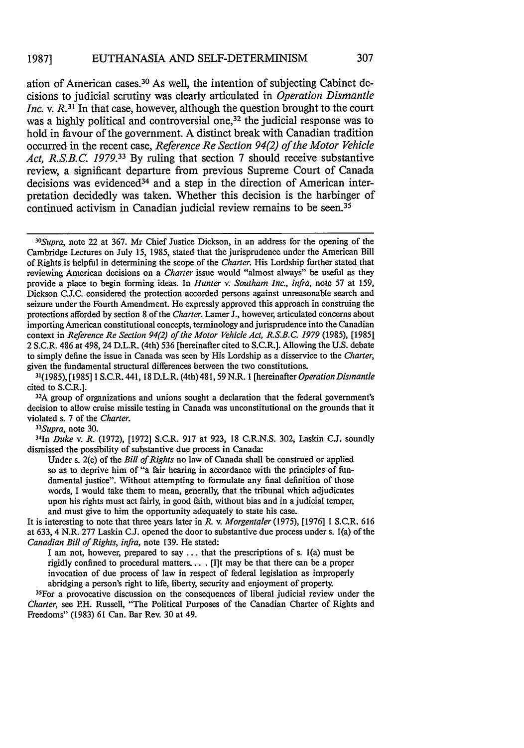#### EUTHANASIA AND SELF-DETERMINISM **1987]**

ation of American cases. 30 As well, the intention of subjecting Cabinet decisions to judicial scrutiny was clearly articulated in *Operation Dismantle Inc.* v. R.<sup>31</sup> In that case, however, although the question brought to the court was a highly political and controversial one,<sup>32</sup> the judicial response was to hold in favour of the government. A distinct break with Canadian tradition occurred in the recent case, *Reference Re Section 94(2) of the Motor Vehicle Act, R.S.B.C. 1979.33* By ruling that section 7 should receive substantive review, a significant departure from previous Supreme Court of Canada decisions was evidenced<sup>34</sup> and a step in the direction of American interpretation decidedly was taken. Whether this decision is the harbinger of continued activism in Canadian judicial review remains to be seen.<sup>35</sup>

<sup>32</sup>A group of organizations and unions sought a declaration that the federal government's decision to allow cruise missile testing in Canada was unconstitutional on the grounds that it violated s. 7 of the *Charter.*

*33 Supra,* note 30. <sup>34</sup>

1n *Duke v. R.* (1972), [1972] S.C.R. 917 at 923, 18 C.R.N.S. 302, Laskin C.J. soundly dismissed the possibility of substantive due process in Canada:

Under s. 2(e) of the *Bill of Rights* no law of Canada shall be construed or applied so as to deprive him of "a fair hearing in accordance with the principles of fundamental justice". Without attempting to formulate any final definition of those words, I would take them to mean, generally, that the tribunal which adjudicates upon his rights must act fairly, in good faith, without bias and in a judicial temper, and must give to him the opportunity adequately to state his case.

It is interesting to note that three years later in *R.* v. *Morgentaler* (1975), [1976] 1 S.C.R. 616 at 633, 4 N.R. 277 Laskin C.J. opened the door to substantive due process under s. l(a) of the *Canadian Bill of Rights, infra,* note 139. He stated:

I am not, however, prepared to say ... that the prescriptions of s. l(a) must be rigidly confined to procedural matters. .. . [I]t may be that there can be a proper invocation of due process of law in respect of federal legislation as improperly abridging a person's right to life, liberty, security and enjoyment of property.

<sup>35</sup> For a provocative discussion on the consequences of liberal judicial review under the *Charter,* see RH. Russell, "The Political Purposes of the Canadian Charter of Rights and Freedoms" (1983) 61 Can. Bar Rev. 30 at 49.

*<sup>30</sup> Supra,* note 22 at 367. Mr Chief Justice Dickson, in an address for the opening of the Cambridge Lectures on July 15, 1985, stated that the jurisprudence under the American Bill of Rights is helpful in determining the scope of the *Charter.* His Lordship further stated that reviewing American decisions on a *Charter* issue would "almost always" be useful as they provide a place to begin forming ideas. In *Hunter v. Southam Inc., infra,* note 57 at 159, Dickson C.J.C. considered the protection accorded persons against unreasonable search and seizure under the Fourth Amendment. He expressly approved this approach in construing the protections afforded by section 8 of the *Charter.* Lamer J., however, articulated concerns about importing American constitutional concepts, terminology and jurisprudence into the Canadian context in *Reference Re Section 94(2) of the Motor Vehicle Act, R.S.B.C. 1979* (1985), [1985] 2 S.C.R. 486 at 498, 24 D.L.R. (4th) 536 [hereinafter cited to S.C.R.]. Allowing the U.S. debate to simply define the issue in Canada was seen by His Lordship as a disservice to the *Charter,* given the fundamental structural differences between the two constitutions.

<sup>31(1985), [1985] 1</sup> S.C.R. 441, 18 D.L.R. (4th) 481, 59 N.R. 1 [hereinafter *Operation Dismantle* cited to S.C.R.].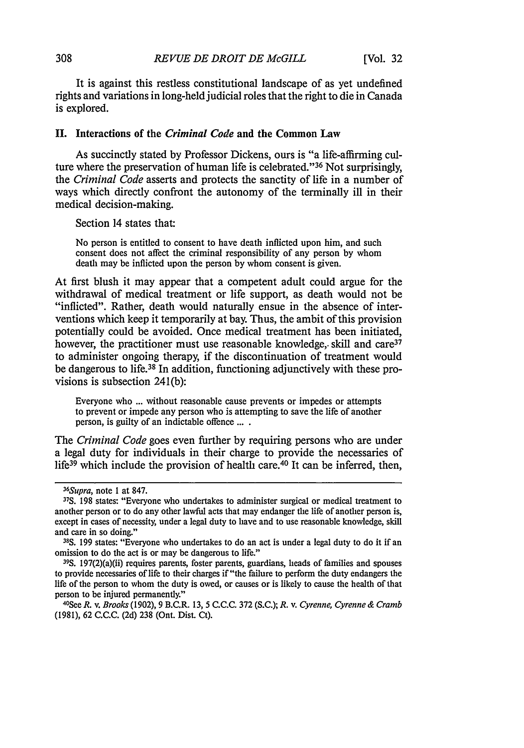It is against this restless constitutional landscape of as yet undefined rights and variations in long-held judicial roles that the right to die in Canada is explored.

### **II.** Interactions of the *Criminal Code* and the Common Law

As succinctly stated **by** Professor Dickens, ours is "a life-affirming culture where the preservation of human life is celebrated."<sup>36</sup> Not surprisingly, the *Criminal Code* asserts and protects the sanctity of life in a number of ways which directly confront the autonomy of the terminally ill in their medical decision-making.

Section 14 states that:

No person is entitled to consent to have death inflicted upon him, and such consent does not affect the criminal responsibility of any person **by** whom death may be inflicted upon the person **by** whom consent is given.

At first blush it may appear that a competent adult could argue for the withdrawal of medical treatment or life support, as death would not be "inflicted". Rather, death would naturally ensue in the absence of interventions which keep it temporarily at bay. Thus, the ambit of this provision potentially could be avoided. Once medical treatment has been initiated, however, the practitioner must use reasonable knowledge, skill and care<sup>37</sup> to administer ongoing therapy, if the discontinuation of treatment would be dangerous to life.<sup>38</sup> In addition, functioning adjunctively with these provisions is subsection 241(b):

Everyone who **...** without reasonable cause prevents or impedes or attempts to prevent or impede any person who is attempting to save the life of another person, is guilty of an indictable offence **....**

The *Criminal Code* goes even further **by** requiring persons who are under a legal duty for individuals in their charge to provide the necessaries of life<sup>39</sup> which include the provision of health care.<sup>40</sup> It can be inferred, then,

<sup>36</sup> Supra, note **I** at **847.**

**<sup>37</sup>S. 198** states: "Everyone who undertakes to administer surgical or medical treatment to another person or to do any other lawful acts that may endanger the life of another person is, except in cases of necessity, under a legal duty to have and to use reasonable knowledge, skill and care in so doing."

**<sup>38</sup>S. 199** states: "Everyone who undertakes to do an act is under a legal duty to do it if an omission to do the act is or may be dangerous to life."

**<sup>39</sup>S.** 197(2)(a)(ii) requires parents, foster parents, guardians, heads of families and spouses to provide necessaries of life to their charges if "the failure to perform the duty endangers the life of the person to whom the duty is owed, or causes or is likely to cause the health of that person to be injured permanently."

See *R.* v. *Brooks* **(1902), 9** B.C.R. **13, 5 C.C.C. 372 (S.C.); R.** v. *Cyrenne, Cyrenne & Cramb* **(1981), 62 C.C.C. (2d) 238** (Ont. Dist. Ct).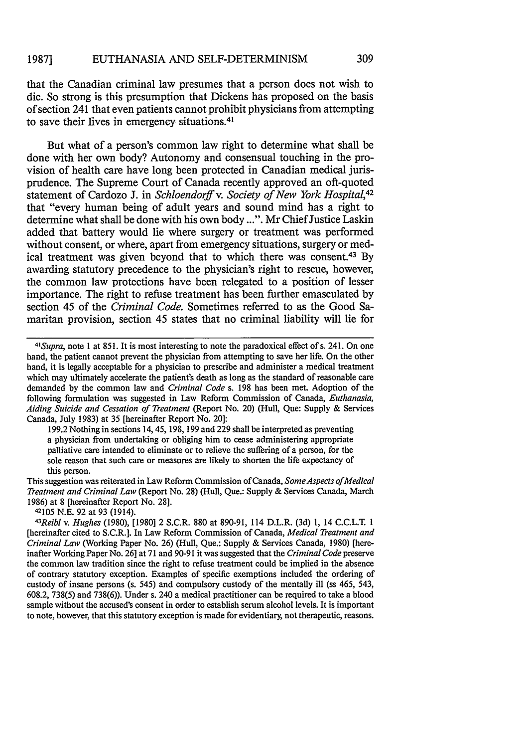that the Canadian criminal law presumes that a person does not wish to die. So strong is this presumption that Dickens has proposed on the basis of section 241 that even patients cannot prohibit physicians from attempting to save their lives in emergency situations.<sup>41</sup>

But what of a person's common law right to determine what shall be done with her own body? Autonomy and consensual touching in the provision of health care have long been protected in Canadian medical jurisprudence. The Supreme Court of Canada recently approved an oft-quoted statement of Cardozo J. in *Schloendorff v. Society of New York Hospital,42* that "every human being of adult years and sound mind has a right to determine what shall be done with his own body ...". Mr Chief Justice Laskin added that battery would lie where surgery or treatment was performed without consent, or where, apart from emergency situations, surgery or medical treatment was given beyond that to which there was consent.43 By awarding statutory precedence to the physician's right to rescue, however, the common law protections have been relegated to a position of lesser importance. The right to refuse treatment has been further emasculated by section 45 of the *Criminal Code.* Sometimes referred to as the Good Samaritan provision, section 45 states that no criminal liability will lie for

199.2 Nothing in sections 14, 45, 198, 199 and 229 shall be interpreted as preventing a physician from undertaking or obliging him to cease administering appropriate palliative care intended to eliminate or to relieve the suffering of a person, for the sole reason that such care or measures are likely to shorten the life expectancy of this person.

This suggestion was reiterated in Law Reform Commission of Canada, *SomeAspects ofMedical Treatment and Criminal Law* (Report No. 28) (Hull, Que.: Supply & Services Canada, March 1986) at 8 [hereinafter Report No. 28].

42105 N.E. 92 at 93 (1914). *<sup>43</sup>*

*<sup>41</sup> Supra,* note 1 at 851. It is most interesting to note the paradoxical effect of s. 241. On one hand, the patient cannot prevent the physician from attempting to save her life. On the other hand, it is legally acceptable for a physician to prescribe and administer a medical treatment which may ultimately accelerate the patient's death as long as the standard of reasonable care demanded by the common law and *Criminal Code* s. 198 has been met. Adoption of the following formulation was suggested in Law Reform Commission of Canada, *Euthanasia, Aiding Suicide and Cessation of Treatment* (Report No. 20) (Hull, Que: Supply & Services Canada, July 1983) at 35 [hereinafter Report No. 20]:

*Reibl v. Hughes* (1980), [1980] 2 S.C.R. 880 at 890-91, 114 D.L.R. (3d) 1, 14 C.C.L.T. 1 [hereinafter cited to S.C.R.]. In Law Reform Commission of Canada, *Medical Treatment and Criminal Law* (Working Paper No. 26) (Hull, Que.: Supply & Services Canada, 1980) [hereinafter Working Paper No. 26] at 71 and 90-91 it was suggested that the *Criminal Code* preserve the common law tradition since the right to refuse treatment could be implied in the absence of contrary statutory exception. Examples of specific exemptions included the ordering of custody of insane persons (s. 545) and compulsory custody of the mentally ill (ss 465, 543, 608.2, 738(5) and 738(6)). Under s. 240 a medical practitioner can be required to take a blood sample without the accused's consent in order to establish serum alcohol levels. It is important to note, however, that this statutory exception is made for evidentiary, not therapeutic, reasons.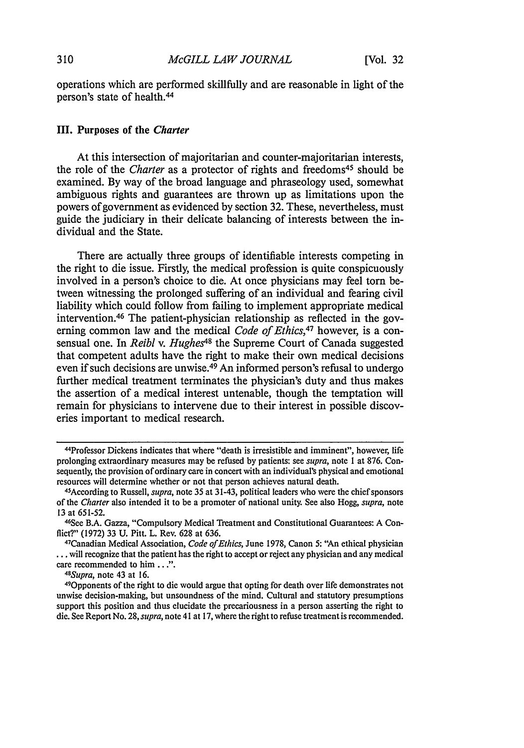operations which are performed skillfully and are reasonable in light of the person's state of health.<sup>44</sup>

## III. Purposes of the *Charter*

At this intersection of majoritarian and counter-majoritarian interests, the role of the *Charter* as a protector of rights and freedoms<sup>45</sup> should be examined. By way of the broad language and phraseology used, somewhat ambiguous rights and guarantees are thrown up as limitations upon the powers of government as evidenced by section 32. These, nevertheless, must guide the judiciary in their delicate balancing of interests between the individual and the State.

There are actually three groups of identifiable interests competing in the right to die issue. Firstly, the medical profession is quite conspicuously involved in a person's choice to die. At once physicians may feel tom between witnessing the prolonged suffering of an individual and fearing civil liability which could follow from failing to implement appropriate medical intervention. 46 The patient-physician relationship as reflected in the governing common law and the medical *Code of Ethics,47* however, is a consensual one. In *Reibl v. Hughes<sup>48</sup>* the Supreme Court of Canada suggested that competent adults have the right to make their own medical decisions even if such decisions are unwise.<sup>49</sup> An informed person's refusal to undergo further medical treatment terminates the physician's duty and thus makes the assertion of a medical interest untenable, though the temptation will remain for physicians to intervene due to their interest in possible discoveries important to medical research.

<sup>44</sup>Professor Dickens indicates that where "death is irresistible and imminent", however, life prolonging extraordinary measures may be refused by patients: see *supra,* note I at 876. Consequently, the provision of ordinary care in concert with an individual's physical and emotional resources will determine whether or not that person achieves natural death. <sup>4</sup>

<sup>&</sup>lt;sup>45</sup> According to Russell, *supra*, note 35 at 31-43, political leaders who were the chief sponsors of the Charter also intended it to be a promoter of national unity. See also Hogg, *supra,* note 13 at 651-52.

<sup>46</sup>See B.A. Gazza, "Compulsory Medical Treatment and Constitutional Guarantees: A Conflict?" (1972) 33 U. Pitt. L. Rev. 628 at 636.

Canadian Medical Association, *Code of Ethics,* June 1978, Canon 5: "An ethical physician **...** will recognize that the patient has the right to accept or reject any physician and any medical care recommended to him *...*

*<sup>48</sup> Supra,* note 43 at 16.

<sup>49</sup>Opponents of the right to die would argue that opting for death over life demonstrates not unwise decision-making, but unsoundness of the mind. Cultural and statutory presumptions support this position and thus elucidate the precariousness in a person asserting the right to die. See Report No. 28, *supra,* note 41 at 17, where the right to refuse treatment is recommended.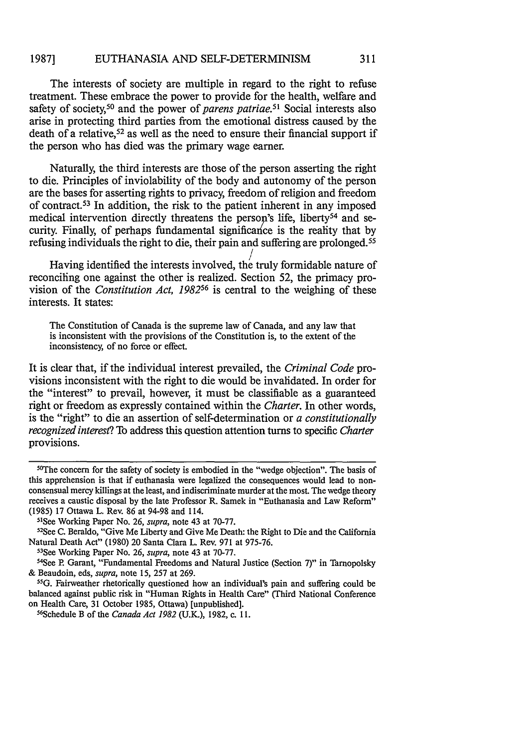#### EUTHANASIA AND SELF-DETERMINISM **1987]**

The interests of society are multiple in regard to the right to refuse treatment. These embrace the power to provide for the health, welfare and safety of society,50 and the power of *parens patriae.51* Social interests also arise in protecting third parties from the emotional distress caused by the death of a relative,<sup>52</sup> as well as the need to ensure their financial support if the person who has died was the primary wage earner.

Naturally, the third interests are those of the person asserting the right to die. Principles of inviolability of the body and autonomy of the person are the bases for asserting rights to privacy, freedom of religion and freedom of contract. 53 In addition, the risk to the patient inherent in any imposed medical intervention directly threatens the person's life, liberty<sup>54</sup> and security. Finally, of perhaps fundamental significance is the reality that by refusing individuals the right to die, their pain and suffering are prolonged. <sup>55</sup>

Having identified the interests involved, the truly formidable nature of reconciling one against the other is realized. Section 52, the primacy provision of the *Constitution Act, 198256* is central to the weighing of these interests. It states:

The Constitution of Canada is the supreme law of Canada, and any law that is inconsistent with the provisions of the Constitution is, to the extent of the inconsistency, of no force or effect.

It is clear that, if the individual interest prevailed, the *Criminal Code* provisions inconsistent with the right to die would be invalidated. In order for the "interest" to prevail, however, it must be classifiable as a guaranteed right or freedom as expressly contained within the *Charter.* In other words, is the "right" to die an assertion of self-determination or *a constitutionally recognized interest?* To address this question attention turns to specific *Charter* provisions.

<sup>&</sup>lt;sup>50</sup>The concern for the safety of society is embodied in the "wedge objection". The basis of this apprehension is that if euthanasia were legalized the consequences would lead to nonconsensual mercy killings at the least, and indiscriminate murder at the most. The wedge theory receives a caustic disposal by the late Professor R. Samek in "Euthanasia and Law Reform" (1985) 17 Ottawa L. Rev. 86 at 94-98 and 114.

<sup>&</sup>lt;sup>51</sup>See Working Paper No. 26, *supra*, note 43 at 70-77.

<sup>&</sup>lt;sup>52</sup>See C. Beraldo, "Give Me Liberty and Give Me Death: the Right to Die and the California Natural Death Act" (1980) 20 Santa Clara L. Rev. 971 at 975-76. <sup>53</sup>

<sup>&</sup>lt;sup>53</sup>See Working Paper No. 26, *supra*, note 43 at 70-77.

See P. Garant, "Fundamental Freedoms and Natural Justice (Section 7)" in Tarnopolsky & Beaudoin, eds, *supra,* note 15, 257 at 269. <sup>55</sup>

<sup>&</sup>lt;sup>55</sup>G. Fairweather rhetorically questioned how an individual's pain and suffering could be balanced against public risk in "Human Rights in Health Care" (Third National Conference on Health Care, 31 October 1985, Ottawa) [unpublished].

Schedule B of the *Canada Act 1982* (U.K.), 1982, c. 11.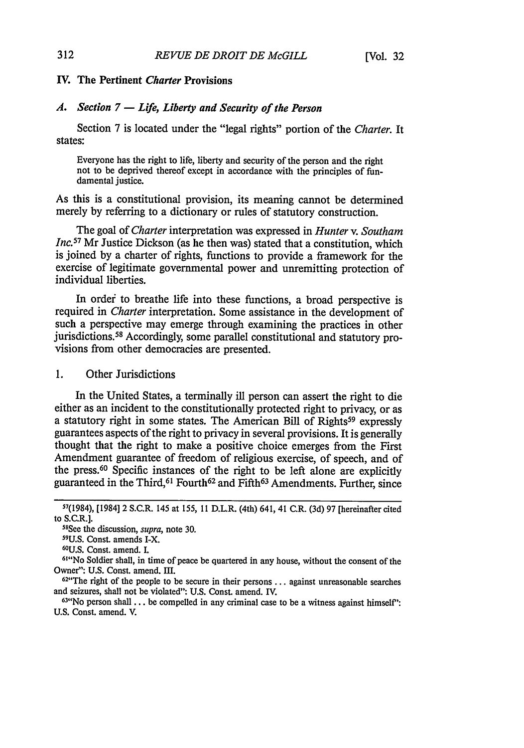## IV. The Pertinent *Charter* Provisions

### *A. Section 7* **- Life,** *Liberty and Security of the Person*

Section **7** is located under the "legal rights" portion of the *Charter.* It states:

Everyone has the right to life, liberty and security of the person and the right not to be deprived thereof except in accordance with the principles of fundamental justice.

As this is a constitutional provision, its meaning cannot be determined merely **by** referring to a dictionary or rules of statutory construction.

The goal of *Charter* interpretation was expressed in *Hunter v. Southam Inc.*<sup>57</sup> Mr Justice Dickson (as he then was) stated that a constitution, which is joined **by** a charter of rights, functions to provide a framework for the exercise of legitimate governmental power and unremitting protection of individual liberties.

In order to breathe life into these functions, a broad perspective is required in *Charter* interpretation. Some assistance in the development of such a perspective may emerge through examining the practices in other jurisdictions. 58 Accordingly, some parallel constitutional and statutory provisions from other democracies are presented.

**1.** Other Jurisdictions

In the United States, a terminally ill person can assert the right to die either as an incident to the constitutionally protected right to privacy, or as a statutory right in some states. The American Bill of Rights<sup>59</sup> expressly guarantees aspects of the right to privacy in several provisions. It is generally thought that the right to make a positive choice emerges from the First Amendment guarantee of freedom of religious exercise, of speech, and of the press.60 Specific instances of the right to be left alone are explicitly guaranteed in the Third, <sup>61</sup> Fourth<sup>62</sup> and Fifth<sup>63</sup> Amendments. Further, since

5 8 See the discussion, *supra,* note 30.

#### 312

**<sup>57(1984),</sup>** [1984] 2 S.C.R. 145 at **155, 11** D.L.R. (4th) 641, 41 **C.R. (3d) 97** [hereinafter cited to S.C.R.].

<sup>59</sup>U.S. Const. amends I-X.

<sup>60</sup>U.S. Const. amend. I. <sup>61</sup>

<sup>&</sup>quot;No Soldier shall, in time of peace be quartered in any house, without the consent of the Owner": U.S. Const. amend. III.

 $62^{\omega}$ The right of the people to be secure in their persons  $\ldots$  against unreasonable searches and seizures, shall not be violated": U.S. Const. amend. IV.

 $63$ <sup>\*</sup>No person shall ... be compelled in any criminal case to be a witness against himself": U.S. Const. amend. V.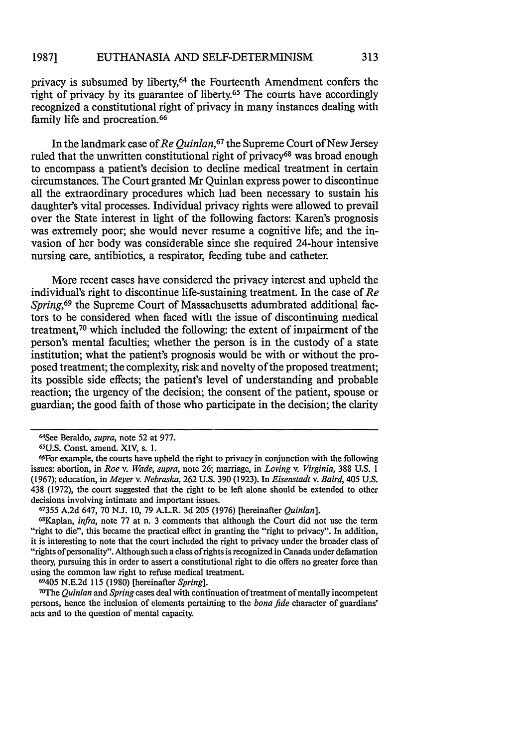privacy is subsumed by liberty,64 the Fourteenth Amendment confers the right of privacy by its guarantee of liberty.<sup>65</sup> The courts have accordingly recognized a constitutional right of privacy in many instances dealing with family life and procreation.<sup>66</sup>

In the landmark case of *Re Quinlan,67* the Supreme Court of New Jersey ruled that the unwritten constitutional right of privacy<sup>68</sup> was broad enough to encompass a patient's decision to decline medical treatment in certain circumstances. The Court granted Mr Quinlan express power to discontinue all the extraordinary procedures which had been necessary to sustain his daughter's vital processes. Individual privacy rights were allowed to prevail over the State interest in light of the following factors: Karen's prognosis was extremely poor; she would never resume a cognitive life; and the invasion of her body was considerable since she required 24-hour intensive nursing care, antibiotics, a respirator, feeding tube and catheter.

More recent cases have considered the privacy interest and upheld the individual's right to discontinue life-sustaining treatment. In the case of *Re Spring,69* the Supreme Court of Massachusetts adumbrated additional factors to be considered when faced with the issue of discontinuing medical treatment,70 which included the following: the extent of impairment of the person's mental faculties; whether the person is in the custody of a state institution; what the patient's prognosis would be with or without the proposed treatment; the complexity, risk and novelty of the proposed treatment; its possible side effects; the patient's level of understanding and probable reaction; the urgency of the decision; the consent of the patient, spouse or guardian; the good faith of those who participate in the decision; the clarity

**67355** A.2d 647, 70 N.J. 10, 79 A.L.R. 3d 205 (1976) [hereinafter *Quinlan].*

68Kaplan, *infra,* note 77 at n. 3 comments that although the Court did not use the term "right to die", this became the practical effect in granting the "right to privacy". In addition, it is interesting to note that the court included the right to privacy under the broader class of "rights of personality". Although such a class of rights is recognized in Canada under defamation theory, pursuing this in order to assert a constitutional right to die offers no greater force than using the common law right to refuse medical treatment.

69405 N.E.2d 115 (1980) [hereinafter *Spring].* <sup>7</sup>

VThe *Quinlan* and *Spring* cases deal with continuation of treatment of mentally incompetent persons, hence the inclusion of elements pertaining to the *bona fide* character of guardians' acts and to the question of mental capacity.

<sup>64</sup>See Beraldo, *supra,* note 52 at 977.

**<sup>65</sup>U.S.** Const. amend. XIV, s. 1.

<sup>6.6</sup>For example, the courts have upheld the right to privacy in conjunction with the following issues: abortion, in *Roe v. Wade, supra,* note **26;** marriage, in *Loving v. Virginia,* 388 U.S. 1 (1967); education, in *Meyer v. Nebraska,* 262 U.S. 390 (1923). In *Eisenstadt v. Baird,* 405 U.S. 438 (1972), the court suggested that the right to be left alone should be extended to other decisions involving intimate and important issues.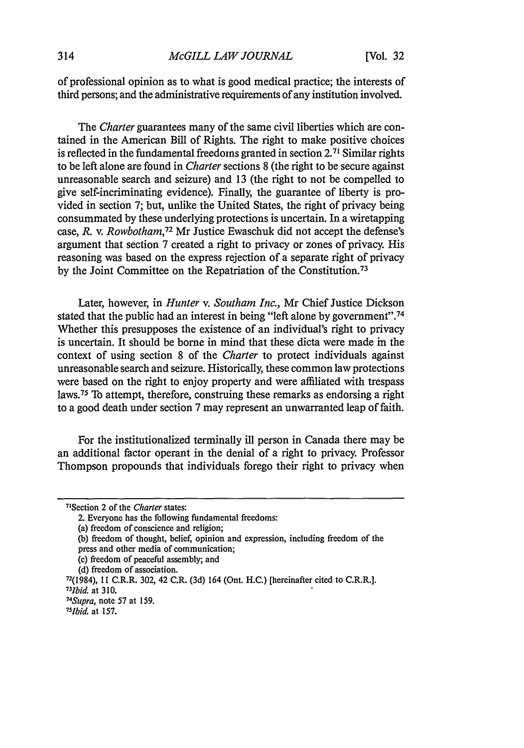of professional opinion as to what is good medical practice; the interests of third persons; and the administrative requirements of any institution involved.

The *Charter* guarantees many of the same civil liberties which are contained in the American Bill of Rights. The right to make positive choices is reflected in the fundamental freedoms granted in section **2. <sup>7</sup> <sup>1</sup>**Similar rights to be left alone are found in *Charter* sections 8 (the right to be secure against unreasonable search and seizure) and 13 (the right to not be compelled to give self-incriminating evidence). Finally, the guarantee of liberty is provided in section 7; but, unlike the United States, the right of privacy being consummated by these underlying protections is uncertain. In a wiretapping case, *R.* v. *Rowbotham, <sup>72</sup>*Mr Justice Ewaschuk did not accept the defense's argument that section 7 created a right to privacy or zones of privacy. His reasoning was based on the express rejection of a separate right of privacy by the Joint Committee on the Repatriation of the Constitution. <sup>73</sup>

Later, however, in *Hunter v. Southam Inc.,* Mr Chief Justice Dickson stated that the public had an interest in being "left alone by government".<sup>74</sup> Whether this presupposes the existence of an individual's right to privacy is uncertain. It should be borne in mind that these dicta were made in the context of using section 8 of the *Charter* to protect individuals against unreasonable search and seizure. Historically, these common law protections were based on the right to enjoy property and were affiliated with trespass laws. 75 To attempt, therefore, construing these remarks as endorsing a right to a good death under section 7 may represent an unwarranted leap of faith.

For the institutionalized terminally ill person in Canada there may be an additional factor operant in the denial of a right to privacy. Professor Thompson propounds that individuals forego their right to privacy when

- (c) freedom of peaceful assembly; and
- (d) freedom of association.

<sup>71</sup> Section 2 of the *Charter* states:

<sup>2.</sup> Everyone has the following fundamental freedoms:

<sup>(</sup>a) freedom of conscience and religion;

<sup>(</sup>b) freedom of thought, belief, opinion and expression, including freedom of the press and other media of communication;

<sup>72(1984),</sup> **11** C.R.R. 302, 42 C.R. (3d) 164 (Ont. H.C.) [hereinafter cited to C.R.R.]. *<sup>73</sup> Ibid.* at 310. *74 Supra,* note **57** at 159.

*<sup>75</sup>Ibid.* at 157.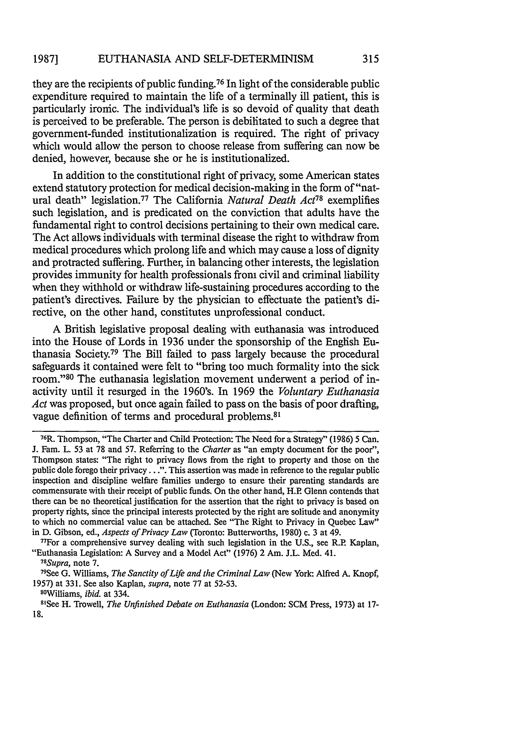#### EUTHANASIA AND SELF-DETERMINISM **1987]**

they are the recipients of public funding.76 In light of the considerable public expenditure required to maintain the life of a terminally ill patient, this is particularly ironic. The individual's life is so devoid of quality that death is perceived to be preferable. The person is debilitated to such a degree that government-funded institutionalization is required. The right of privacy which would allow the person to choose release from suffering can now be denied, however, because she or he is institutionalized.

In addition to the constitutional right of privacy, some American states extend statutory protection for medical decision-making in the form of "natural death" legislation. 77 The California *Natural Death Act78* exemplifies such legislation, and is predicated on the conviction that adults have the fundamental right to control decisions pertaining to their own medical care. The Act allows individuals with terminal disease the right to withdraw from medical procedures which prolong life and which may cause a loss of dignity and protracted suffering. Further, in balancing other interests, the legislation provides immunity for health professionals from civil and criminal liability when they withhold or withdraw life-sustaining procedures according to the patient's directives. Failure by the physician to effectuate the patient's directive, on the other hand, constitutes unprofessional conduct.

A British legislative proposal dealing with euthanasia was introduced into the House of Lords in 1936 under the sponsorship of the English Euthanasia Society.79 The Bill failed to pass largely because the procedural safeguards it contained were felt to "bring too much formality into the sick room. '80 The euthanasia legislation movement underwent a period of inactivity until it resurged in the 1960's. In 1969 the *Voluntary Euthanasia Act* was proposed, but once again failed to pass on the basis of poor drafting, vague definition of terms and procedural problems.<sup>81</sup>

<sup>76</sup> R. Thompson, "The Charter and Child Protection: The Need for a Strategy" (1986) 5 Can. J. Fam. L. 53 at 78 and 57. Referring to the *Charter* as "an empty document for the poor", Thompson states: "The right to privacy flows from the right to property and those on the public dole forego their privacy. **.** .". This assertion was made in reference to the regular public inspection and discipline welfare families undergo to ensure their parenting standards are commensurate with their receipt of public funds. On the other hand, H.P Glenn contends that there can be no theoretical justification for the assertion that the right to privacy is based on property rights, since the principal interests protected by the right are solitude and anonymity to which no commercial value can be attached. See "The Right to Privacy in Quebec Law" in D. Gibson, ed., *Aspects of Privacy Law* (Toronto: Butterworths, 1980) c. **3** at 49. <sup>77</sup>

 $^{77}$ For a comprehensive survey dealing with such legislation in the U.S., see R.P. Kaplan, "Euthanasia Legislation: A Survey and a Model Act" (1976) 2 Am. J.L. Med. 41. *<sup>78</sup>*

<sup>&</sup>lt;sup>78</sup>Supra, note 7.

See G. Williams, *The Sanctity of Life and the Criminal Law* (New York: Alfred A. Knopf, 1957) at 331. See also Kaplan, *supra,* note 77 at 52-53.

<sup>8</sup> °Williams, *ibid.* at 334. <sup>81</sup>

See H. Trowell, *The Unfinished Debate on Euthanasia* (London: SCM Press, 1973) at 17- 18.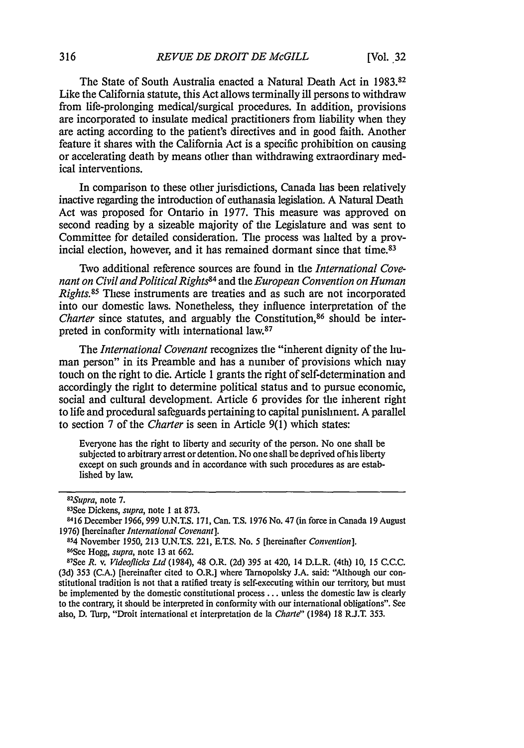The State of South Australia enacted a Natural Death Act in 1983.82 Like the California statute, this Act allows terminally ill persons to withdraw from life-prolonging medical/surgical procedures. In addition, provisions are incorporated to insulate medical practitioners from liability when they are acting according to the patient's directives and in good faith. Another feature it shares with the California Act is a specific prohibition on causing or accelerating death by means other than withdrawing extraordinary medical interventions.

In comparison to these other jurisdictions, Canada has been relatively inactive regarding the introduction of euthanasia legislation. A Natural Death Act was proposed for Ontario in 1977. This measure was approved on second reading by a sizeable majority of the Legislature and was sent to Committee for detailed consideration. The process was halted by a provincial election, however, and it has remained dormant since that time.<sup>83</sup>

Two additional reference sources are found in the *International Covenant on Civil and PoliticalRights84* and the *European Convention on Human Rights.*<sup>85</sup> These instruments are treaties and as such are not incorporated into our domestic laws. Nonetheless, they influence interpretation of the *Charter* since statutes, and arguably the Constitution,<sup>86</sup> should be interpreted in conformity with international law.<sup>87</sup>

The *International Covenant* recognizes the "inherent dignity of the human person" in its Preamble and has a number of provisions which may touch on the right to die. Article 1 grants the right of self-determination and accordingly the right to determine political status and to pursue economic, social and cultural development. Article 6 provides for the inherent right to life and procedural safeguards pertaining to capital punishment. A parallel to section 7 of the *Charter* is seen in Article 9(1) which states:

Everyone has the right to liberty and security of the person. No one shall be subjected to arbitrary arrest or detention. No one shall be deprived of his liberty except on such grounds and in accordance with such procedures as are established by law.

*<sup>82</sup> Supra,* note 7. <sup>83</sup>

See Dickens, *supra,* note 1 at 873.

<sup>8416</sup> December 1966, 999 U.N.T.S. 171, Can. T.S. 1976 No. 47 (in force in Canada 19 August 1976) [hereinafter *International Covenant].*

<sup>854</sup>November 1950, 213 U.N.T.S. 221, E.T.S. No. 5 [hereinafter *Convention].* 86 See Hogg, *supra,* note 13 at 662.

<sup>87</sup> See *R.* v. *Videoflicks Ltd* (1984), 48 O.R. (2d) 395 at 420, 14 D.L.R. (4th) **10,** 15 C.C.C. (3d) 353 (C.A.) [hereinafter cited to O.R.] where TarnopoIsky J.A. said: "Although our constitutional tradition is not that a ratified treaty is self-executing within our territory, but must be implemented by the domestic constitutional process ... unless the domestic law is clearly to the contrary, it should be interpreted in conformity with our international obligations". See also, D. Turp, "Droit international et interpretation de Ia *Charte"* (1984) 18 R.J.T. 353.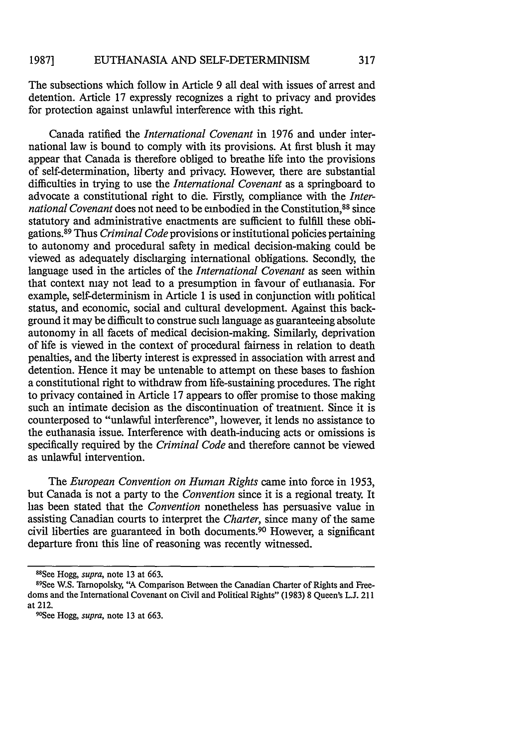The subsections which follow in Article 9 all deal with issues of arrest and detention. Article 17 expressly recognizes a right to privacy and provides for protection against unlawful interference with this right.

Canada ratified the *International Covenant* in 1976 and under international law is bound to comply with its provisions. At first blush it may appear that Canada is therefore obliged to breathe life into the provisions of self-determination, liberty and privacy. However, there are substantial difficulties in trying to use the *International Covenant* as a springboard to advocate a constitutional right to die. Firstly, compliance with the *International Covenant* does not need to be embodied in the Constitution.<sup>88</sup> since statutory and administrative enactments are sufficient to fulfill these obligations.89 Thus *Criminal Code* provisions or institutional policies pertaining to autonomy and procedural safety in medical decision-making could be viewed as adequately discharging international obligations. Secondly, the language used in the articles of the *International Covenant* as seen within that context may not lead to a presumption in favour of euthanasia. For example, self-determinism in Article 1 is used in conjunction with political status, and economic, social and cultural development. Against this background it may be difficult to construe such language as guaranteeing absolute autonomy in all facets of medical decision-making. Similarly, deprivation of life is viewed in the context of procedural fairness in relation to death penalties, and the liberty interest is expressed in association with arrest and detention. Hence it may be untenable to attempt on these bases to fashion a constitutional right to withdraw from life-sustaining procedures. The right to privacy contained in Article 17 appears to offer promise to those making such an intimate decision as the discontinuation of treatment. Since it is counterposed to "unlawful interference", however, it lends no assistance to the euthanasia issue. Interference with death-inducing acts or omissions is specifically required by the *Criminal Code* and therefore cannot be viewed as unlawful intervention.

The *European Convention on Human Rights* came into force in 1953, but Canada is not a party to the *Convention* since it is a regional treaty. It has been stated that the *Convention* nonetheless has persuasive value in assisting Canadian courts to interpret the *Charter,* since many of the same civil liberties are guaranteed in both documents. 90 However, a significant departure from this line of reasoning was recently witnessed.

<sup>88</sup> See Hogg, *supra,* note 13 at 663.

see W.S. Tarnopolsky, "A Comparison Between the Canadian Charter of Rights and Freedoms and the International Covenant on Civil and Political Rights" (1983) 8 Queen's L.J. 211 at 212.

<sup>90</sup> See Hogg, *supra,* note 13 at 663.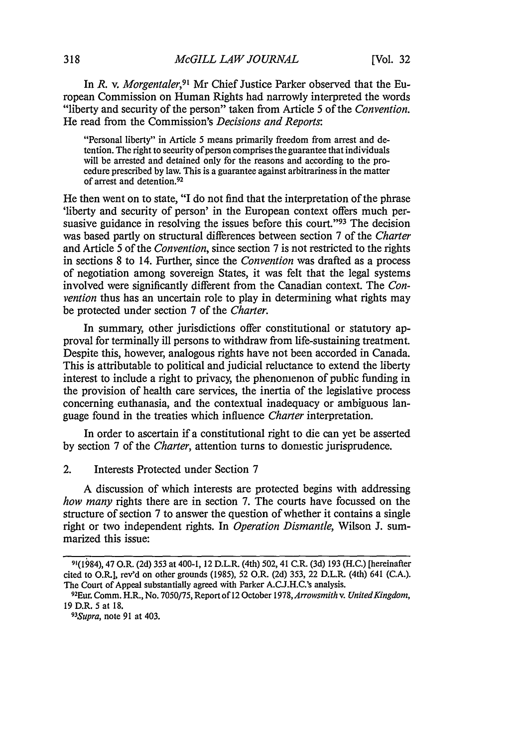In *R.* v. *Morgentaler,9'* Mr Chief Justice Parker observed that the European Commission on Human Rights had narrowly interpreted the words "liberty and security of the person" taken from Article 5 of the *Convention.* He read from the Commission's *Decisions and Reports:*

"Personal liberty" in Article 5 means primarily freedom from arrest and detention. The right to security of person comprises the guarantee that individuals will be arrested and detained only for the reasons and according to the procedure prescribed by law. This is a guarantee against arbitrariness in the matter of arrest and detention. <sup>92</sup>

He then went on to state, "I do not find that the interpretation of the phrase 'liberty and security of person' in the European context offers much persuasive guidance in resolving the issues before this court."<sup>93</sup> The decision was based partly on structural differences between section 7 of the *Charter* and Article 5 of the *Convention,* since section 7 is not restricted to the rights in sections 8 to 14. Further, since the *Convention* was drafted as a process of negotiation among sovereign States, it was felt that the legal systems involved were significantly different from the Canadian context. The *Convention* thus has an uncertain role to play in determining what rights may be protected under section 7 of the *Charter.*

In summary, other jurisdictions offer constitutional or statutory approval for terminally ill persons to withdraw from life-sustaining treatment. Despite this, however, analogous rights have not been accorded in Canada. This is attributable to political and judicial reluctance to extend the liberty interest to include a right to privacy, the phenomenon of public funding in the provision of health care services, the inertia of the legislative process concerning euthanasia, and the contextual inadequacy or ambiguous language found in the treaties which influence *Charter* interpretation.

In order to ascertain if a constitutional right to die can yet be asserted by section 7 of the *Charter,* attention turns to domestic jurisprudence.

A discussion of which interests are protected begins with addressing *how many* rights there are in section 7. The courts have focussed on the structure of section 7 to answer the question of whether it contains a single right or two independent rights. In *Operation Dismantle,* Wilson **J.** summarized this issue:

<sup>2.</sup> Interests Protected under Section 7

<sup>91(1984),</sup> 47 O.R. (2d) 353 at 400-1, 12 D.L.R. (4th) 502, 41 C.R. (3d) 193 (H.C.) [hereinafter cited to O.R.], rev'd on other grounds (1985), 52 O.R. (2d) 353, 22 D.L.R. (4th) 641 (C.A.). The Court of Appeal substantially agreed with Parker A.C.J.H.C.'s analysis.

<sup>&</sup>lt;sup>92</sup>Eur. Comm. H.R., No. 7050/75, Report of 12 October 1978, Arrowsmith v. United Kingdom, 19 D.R. 5 at 18.

*<sup>93</sup> Supra,* note 91 at 403.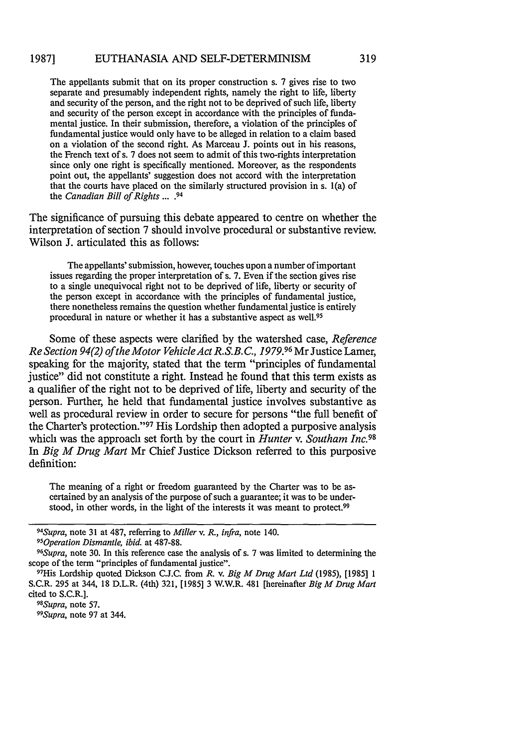#### EUTHANASIA AND SELF-DETERMINISM **19871**

The appellants submit that on its proper construction s. 7 gives rise to two separate and presumably independent rights, namely the right to life, liberty and security of the person, and the right not to be deprived of such life, liberty and security of the person except in accordance with the principles of fundamental justice. In their submission, therefore, a violation of the principles of fundamental justice would only have to be alleged in relation to a claim based on a violation of the second right. As Marceau J. points out in his reasons, the French text of s. 7 does not seem to admit of this two-rights interpretation since only one right is specifically mentioned. Moreover, as the respondents point out, the appellants' suggestion does not accord with the interpretation that the courts have placed on the similarly structured provision in s. 1(a) of the *Canadian Bill of Rights* ....94

The significance of pursuing this debate appeared to centre on whether the interpretation of section 7 should involve procedural or substantive review. Wilson J. articulated this as follows:

The appellants' submission, however, touches upon a number of important issues regarding the proper interpretation of s. 7. Even if the section gives rise to a single unequivocal right not to be deprived of life, liberty or security of the person except in accordance with the principles of fundamental justice, there nonetheless remains the question whether fundamental justice is entirely procedural in nature or whether it has a substantive aspect as well. <sup>95</sup>

Some of these aspects were clarified by the watershed case, *Reference Re Section 94(2) of the Motor VehicleAct R.S.B. C., 1979.96* Mr Justice Lamer, speaking for the majority, stated that the term "principles of fundamental justice" did not constitute a right. Instead he found that this term exists as a qualifier of the right not to be deprived of life, liberty and security of the person. Further, he held that fundamental justice involves substantive as well as procedural review in order to secure for persons "the full benefit of the Charter's protection."<sup>97</sup> His Lordship then adopted a purposive analysis which was the approach set forth by the court in *Hunter v. Southam Inc.98* In *Big M Drug Mart* Mr Chief Justice Dickson referred to this purposive definition:

The meaning of a right or freedom guaranteed by the Charter was to be ascertained by an analysis of the purpose of such a guarantee; it was to be understood, in other words, in the light of the interests it was meant to protect.<sup>99</sup>

*<sup>94</sup> Supra,* note 31 at 487, referring to *Miller v. R., infra,* note 140. *<sup>95</sup> Operation Dismantle, ibid.* at 487-88.

<sup>&</sup>lt;sup>96</sup>Supra, note 30. In this reference case the analysis of s. 7 was limited to determining the

scope of the term "principles of fundamental justice".

His Lordship quoted Dickson C.J.C. from *R.* v. *Big M Drug Mart Ltd* (1985), [1985] 1 S.C.R. 295 at 344, 18 D.L.R. (4th) 321, [1985] 3 W.W.R. 481 [hereinafter *Big M Drug Mart* cited to S.C.R.]. *98 Supra,* note 57.

*<sup>99</sup> Supra,* note **97** at 344.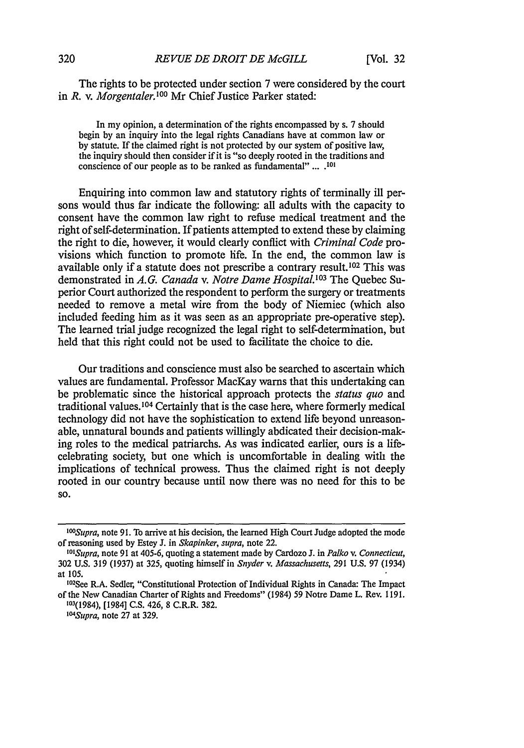The rights to be protected under section 7 were considered by the court in *R. v. Morgentaler*<sup>100</sup> Mr Chief Justice Parker stated:

In my opinion, a determination of the rights encompassed by s. 7 should begin by an inquiry into the legal rights Canadians have at common law or by statute. If the claimed right is not protected by our system of positive law, the inquiry should then consider if it is "so deeply rooted in the traditions and conscience of our people as to be ranced as fundamental" **.... <sup>101</sup>**

Enquiring into common law and statutory rights of terminally ill persons would thus far indicate the following: all adults with the capacity to consent have the common law right to refuse medical treatment and the right of self-determination. If patients attempted to extend these by claiming the right to die, however, it would clearly conflict with *Criminal Code* provisions which function to promote life. In the end, the common law is available only if a statute does not prescribe a contrary result.<sup>102</sup> This was demonstrated in A.G. Canada v. Notre Dame Hospital.<sup>103</sup> The Quebec Superior Court authorized the respondent to perform the surgery or treatments needed to remove a metal wire from the body of Niemiec (which also included feeding him as it was seen as an appropriate pre-operative step). The learned trial judge recognized the legal right to self-determination, but held that this right could not be used to facilitate the choice to die.

Our traditions and conscience must also be searched to ascertain which values are fundamental. Professor MacKay warns that this undertaking can be problematic since the historical approach protects the *status quo* and traditional values.<sup>104</sup> Certainly that is the case here, where formerly medical technology did not have the sophistication to extend life beyond unreasonable, unnatural bounds and patients willingly abdicated their decision-making roles to the medical patriarchs. As was indicated earlier, ours is a lifecelebrating society, but one which is uncomfortable in dealing with the implications of technical prowess. Thus the claimed right is not deeply rooted in our country because until now there was no need for this to be **SO.**

*<sup>10°</sup>Supra,* note 91. To arrive at his decision, the learned High Court Judge adopted the mode of reasoning used by Estey J. in *Skapinker, supra,* note 22.

*<sup>&#</sup>x27;°1 Supra,* note 91 at 405-6, quoting a statement made by Cardozo J. in *Palko v. Connecticut,* 302 U.S. 319 (1937) at 325, quoting himself in *Snyder v. Massachusetts,* 291 U.S. 97 (1934) at **105.**

<sup>102.&</sup>lt;br><sup>102</sup>See R.A. Sedler, "Constitutional Protection of Individual Rights in Canada: The Impact of the New Canadian Charter of Rights and Freedoms" (1984) **59** Notre Dame L. Rev. **1191.**

**<sup>103(1984),</sup>** [1984] **C.S.** 426, **8** C.R.R. **382.** *"°4Supra,* note **27** at **329.**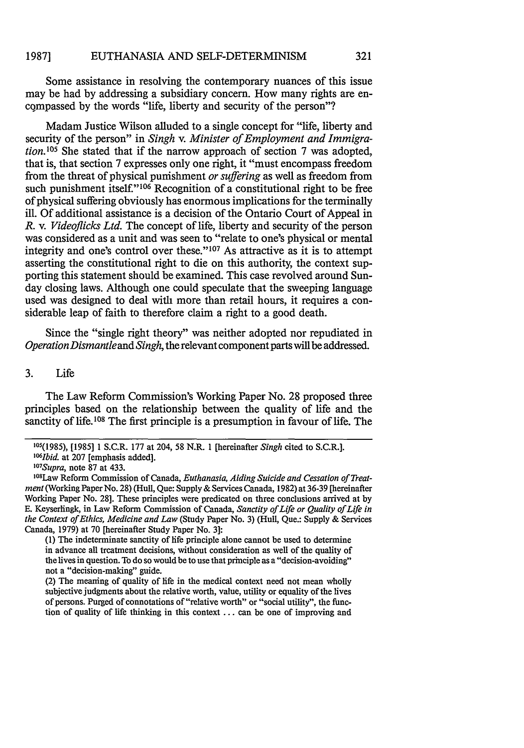Some assistance in resolving the contemporary nuances of this issue may be had by addressing a subsidiary concern. How many rights are encompassed by the words "life, liberty and security of the person"?

Madam Justice Wilson alluded to a single concept for "life, liberty and security of the person" in *Singh v. Minister of Employment and Immigration.*<sup>105</sup> She stated that if the narrow approach of section 7 was adopted, that is, that section 7 expresses only one right, it "must encompass freedom from the threat of physical punishment *or suffering* as well as freedom from such punishment itself."<sup>106</sup> Recognition of a constitutional right to be free of physical suffering obviously has enormous implications for the terminally ill. Of additional assistance is a decision of the Ontario Court of Appeal in *R. v. Videoflicks Ltd.* The concept of life, liberty and security of the person was considered as a unit and was seen to "relate to one's physical or mental integrity and one's control over these."<sup>107</sup> As attractive as it is to attempt asserting the constitutional right to die on this authority, the context supporting this statement should be examined. This case revolved around Sunday closing laws. Although one could speculate that the sweeping language used was designed to deal with more than retail hours, it requires a considerable leap of faith to therefore claim a right to a good death.

Since the "single right theory" was neither adopted nor repudiated in *Operation Dismantleand Singh,* the relevant component parts will be addressed.

### 3. Life

The Law Reform Commission's Working Paper No. 28 proposed three principles based on the relationship between the quality of life and the sanctity of life.<sup>108</sup> The first principle is a presumption in favour of life. The

(1) The indeterminate sanctity of life principle alone cannot be used to determine in advance all treatment decisions, without consideration as well of the quality of the lives in question. To do so would be to use that principle as a "decision-avoiding" not a "decision-making" guide.

(2) The meaning of quality of life in the medical context need not mean wholly subjective judgments about the relative worth, value, utility or equality of the lives of persons. Purged of connotations of "relative worth" or "social utility", the function of quality of life thinking in this context ... can be one of improving and

<sup>105(1985), [1985] 1</sup> S.C.R. 177 at 204, 58 N.R. 1 [hereinafter *Singh* cited to S.C.R.]. *06 1 1bid.* at 207 [emphasis added].

*<sup>1</sup> 07 Supra,* note 87 at 433.

I 08 Law Reform Commission of Canada, *Euthanasia, Aiding Suicide and Cessation of Treatment* (Working Paper No. 28) (Hull, Que: Supply & Services Canada, 1982) at 36-39 [hereinafter Working Paper No. 28]. These principles were predicated on three conclusions arrived at by **E.** Keyserlingk, in *Law* Reform Commission of Canada, *Sanctity of Life or Quality of Life in the Context of Ethics, Medicine and Law* (Study Paper No. 3) (Hull, Que.: Supply & Services Canada, 1979) at 70 [hereinafter Study Paper No. 3]: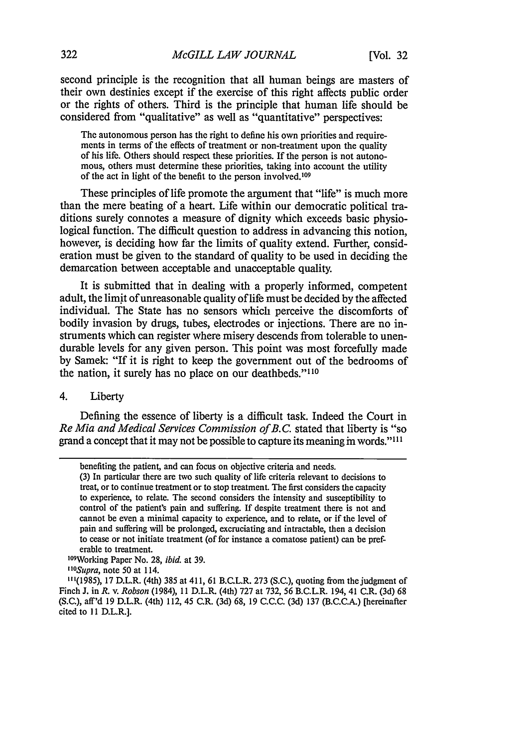second principle is the recognition that all human beings are masters of their own destinies except if the exercise of this right affects public order or the rights of others. Third is the principle that human life should be considered from "qualitative" as well as "quantitative" perspectives:

The autonomous person has the right to define his own priorities and requirements in terms of the effects of treatment or non-treatment upon the quality of his life. Others should respect these priorities. If the person is not autonomous, others must determine these priorities, taking into account the utility of the act in light of the benefit to the person involved.<sup>109</sup>

These principles of life promote the argument that "life" is much more than the mere beating of a heart. Life within our democratic political traditions surely connotes a measure of dignity which exceeds basic physiological function. The difficult question to address in advancing this notion, however, is deciding how far the limits of quality extend. Further, consideration must be given to the standard of quality to be used in deciding the demarcation between acceptable and unacceptable quality.

It is submitted that in dealing with a properly informed, competent adult, the limit of unreasonable quality of life must be decided by the affected individual. The State has no sensors which perceive the discomforts of bodily invasion by drugs, tubes, electrodes or injections. There are no instruments which can register where misery descends from tolerable to unendurable levels for any given person. This point was most forcefully made by Samek: "If it is right to keep the government out of the bedrooms of the nation, it surely has no place on our deathbeds."<sup>110</sup>

4. Liberty

Defining the essence of liberty is a difficult task. Indeed the Court in *Re Mia and Medical Services Commission of B.C.* stated that liberty is "so grand a concept that it may not be possible to capture its meaning in words."<sup>111</sup>

09 Working Paper No. 28, *ibid.* at 39.

**1** *Supra,* note 50 at 114.

benefiting the patient, and can focus on objective criteria and needs.

<sup>(3)</sup> In particular there are two such quality of life criteria relevant to decisions to treat, or to continue treatment or to stop treatment. The first considers the capacity to experience, to relate. The second considers the intensity and susceptibility to control of the patient's pain and suffering. If despite treatment there is not and cannot be even a minimal capacity to experience, and to relate, or if the level of pain and suffering will be prolonged, excruciating and intractable, then a decision to cease or not initiate treatment (of for instance a comatose patient) can be preferable to treatment.

<sup>111(1985), 17</sup> D.L.R. (4th) 385 at 411, 61 B.C.L.R. 273 (S.C.), quoting from the judgment of Finch J. in *R.* v. *Robson* (1984), **11** D.L.R. (4th) 727 at 732, 56 B.C.L.R. 194, 41 C.R. (3d) 68 (S.C.), aff'd 19 D.L.R. (4th) 112, 45 C.R. (3d) 68, 19 C.C.C. (3d) 137 (B.C.C.A.) [hereinafter cited to 11 D.L.R.].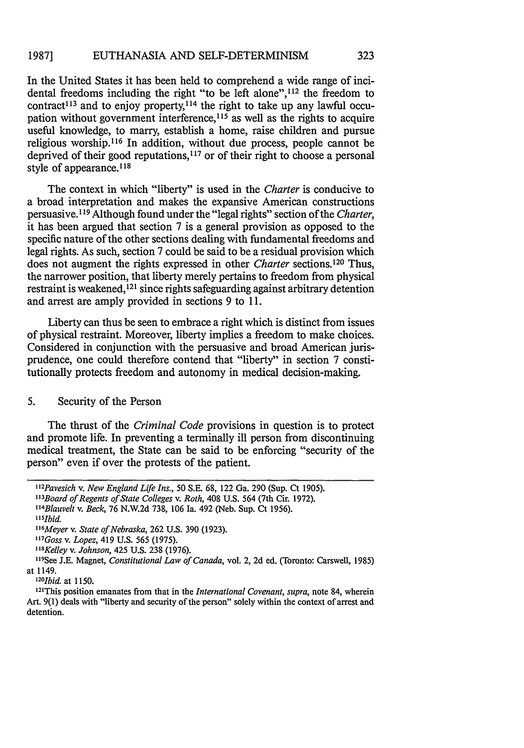In the United States it has been held to comprehend a wide range of incidental freedoms including the right "to be left alone", 112 the freedom to contract<sup>113</sup> and to enjoy property,<sup>114</sup> the right to take up any lawful occupation without government interference, $115$  as well as the rights to acquire useful knowledge, to marry, establish a home, raise children and pursue religious worship.<sup>116</sup> In addition, without due process, people cannot be deprived of their good reputations,<sup>117</sup> or of their right to choose a personal style of appearance.<sup>118</sup>

The context in which "liberty" is used in the *Charter* is conducive to a broad interpretation and makes the expansive American constructions persuasive. **1'9** Although found under the "legal rights" section of the *Charter,* it has been argued that section 7 is a general provision as opposed to the specific nature of the other sections dealing with fundamental freedoms and legal rights. As such, section 7 could be said to be a residual provision which does not augment the rights expressed in other *Charter* sections.<sup>120</sup> Thus, the narrower position, that liberty merely pertains to freedom from physical restraint is weakened,<sup>121</sup> since rights safeguarding against arbitrary detention and arrest are amply provided in sections 9 to 11.

Liberty can thus be seen to embrace a right which is distinct from issues of physical restraint. Moreover, liberty implies a freedom to make choices. Considered in conjunction with the persuasive and broad American jurisprudence, one could therefore contend that "liberty" in section 7 constitutionally protects freedom and autonomy in medical decision-making.

### 5. Security of the Person

The thrust of the *Criminal Code* provisions in question is to protect and promote life. In preventing a terminally ill person from discontinuing medical treatment, the State can be said to be enforcing "security of the person" even if over the protests of the patient.

*<sup>&</sup>quot; 2 Pavesich v. New England Life Ins.,* 50 S.E. 68, 122 Ga. 290 (Sup. Ct 1905). *" 3 Board of Regents of State Colleges v. Roth,* 408 U.S. 564 (7th Cir. 1972).

*<sup>&</sup>quot; 4 Blauvelt v. Beck,* 76 N.W.2d 738, 106 Ia. 492 (Neb. Sup. Ct 1956).

*<sup>,15</sup>ibid*

*<sup>1</sup> 16 Meyer v. State of Nebraska,* 262 U.S. 390 (1923).

*<sup>1</sup>t7 Goss v. Lopez,* 419 U.S. 565 (1975).

*<sup>&</sup>quot;Kelley v. Johnson,* 425 U.S. 238 (1976).

<sup>&</sup>lt;sup>119</sup>See J.E. Magnet, *Constitutional Law of Canada*, vol. 2, 2d ed. (Toronto: Carswell, 1985) at 1149. *20*

<sup>&</sup>lt;sup>120</sup>*Ibid.* at 1150.

<sup>1</sup> This position emanates from that in the *International Covenant, supra,* note 84, wherein Art. 9(1) deals with "liberty and security of the person" solely within the context of arrest and detention.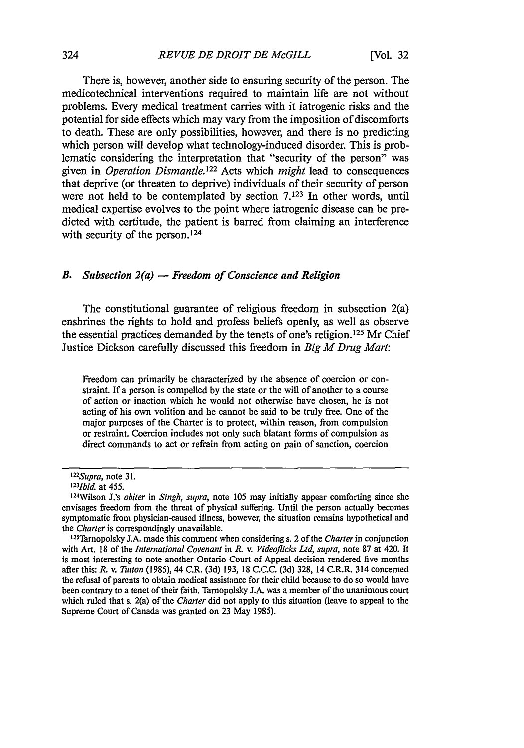There is, however, another side to ensuring security of the person. The medicotechnical interventions required to maintain life are not without problems. Every medical treatment carries with it iatrogenic risks and the potential for side effects which may vary from the imposition of discomforts to death. These are only possibilities, however, and there is no predicting which person will develop what technology-induced disorder. This is problematic considering the interpretation that "security of the person" was given in *Operation Dismantle122* Acts which *might* lead to consequences that deprive (or threaten to deprive) individuals of their security of person were not held to be contemplated by section **7.123** In other words, until medical expertise evolves to the point where iatrogenic disease can be predicted with certitude, the patient is barred from claiming an interference with security of the person. $124$ 

## *B. Subsection 2(a)* - *Freedom of Conscience and Religion*

The constitutional guarantee of religious freedom in subsection 2(a) enshrines the rights to hold and profess beliefs openly, as well as observe the essential practices demanded by the tenets of one's religion.<sup>125</sup> Mr Chief Justice Dickson carefully discussed this freedom in *Big M Drug Mart:*

Freedom can primarily be characterized **by** the absence of coercion or constraint. **If** a person is compelled **by** the state or the will of another to a course of action or inaction which he would not otherwise have chosen, he is not acting of his own volition and he cannot be said to be truly free. One of the major purposes of the Charter is to protect, within reason, from compulsion or restraint. Coercion includes not only such blatant forms of compulsion as direct commands to act or refrain from acting on pain of sanction, coercion

*<sup>1</sup> 22 Supra,* note **31.**

*<sup>1</sup> 23 Ibid.* at 455.

<sup>1</sup> 24Wilson **J.'s** *obiter* in *Singh, supra,* note **105** may initially appear comforting since she envisages freedom from the threat of physical suffering. Until the person actually becomes symptomatic from physician-caused illness, however, the situation remains hypothetical and the *Charter* is correspondingly unavailable.

<sup>&</sup>lt;sup>125</sup>Tarnopolsky J.A. made this comment when considering s. 2 of the *Charter* in conjunction with Art. **18** of the *International Covenant* in *R.* v. *Videoflicks Ltd,* supra, note **87** at 420. It is most interesting to note another Ontario Court of Appeal decision rendered five months after this: *R.* v. *Tutton* **(1985),** 44 C.R. **(3d) 193, 18 C.C.C. (3d) 328,** 14 C.R.R. 314 concerned the refusal of parents to obtain medical assistance for their child because to do so would have been contrary to a tenet of their faith. Tarnopolsky **J.A.** was a member of the unanimous court which ruled that s. 2(a) of the *Charter* did not apply to this situation (leave to appeal to the Supreme Court of Canada was granted on **23** May **1985).**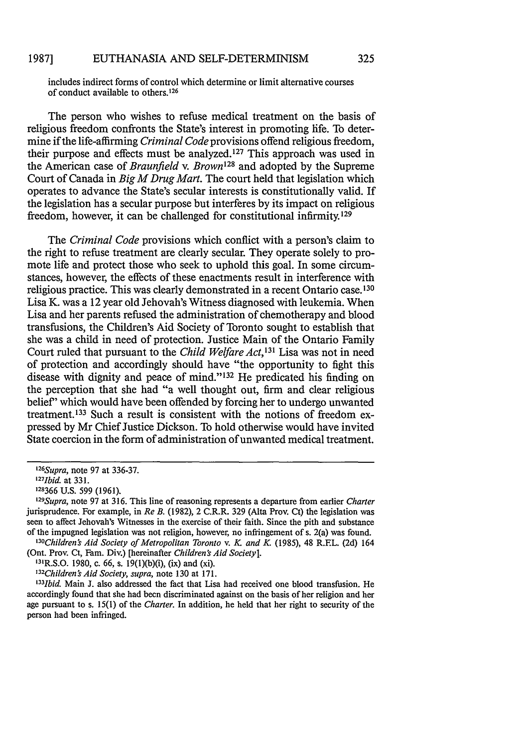includes indirect forms of control which determine or limit alternative courses of conduct available to others. <sup>126</sup>

The person who wishes to refuse medical treatment on the basis of religious freedom confronts the State's interest in promoting life. To determine if the life-affirming *Criminal Code* provisions offend religious freedom, their purpose and effects must be analyzed. 127 This approach was used in the American case of *Braunfield v. Brown128* and adopted by the Supreme Court of Canada in *Big M Drug Mart.* The court held that legislation which operates to advance the State's secular interests is constitutionally valid. If the legislation has a secular purpose but interferes by its impact on religious freedom, however, it can be challenged for constitutional infirmity.<sup>129</sup>

The *Criminal Code* provisions which conflict with a person's claim to the right to refuse treatment are clearly secular. They operate solely to promote life and protect those who seek to uphold this goal. In some circumstances, however, the effects of these enactments result in interference with religious practice. This was clearly demonstrated in a recent Ontario case.130 Lisa K. was a 12 year old Jehovah's Witness diagnosed with leukemia. When Lisa and her parents refused the administration of chemotherapy and blood transfusions, the Children's Aid Society of Toronto sought to establish that she was a child in need of protection. Justice Main of the Ontario Family Court ruled that pursuant to the *Child Welfare Act, <sup>13</sup> <sup>1</sup>*Lisa was not in need of protection and accordingly should have "the opportunity to fight this disease with dignity and peace of mind."<sup>132</sup> He predicated his finding on the perception that she had "a well thought out, firm and clear religious belief' which would have been offended by forcing her to undergo unwanted treatment. 133 Such a result is consistent with the notions of freedom expressed by Mr Chief Justice Dickson. To hold otherwise would have invited State coercion in the form of administration of unwanted medical treatment.

*<sup>&#</sup>x27; 26 Supra,* note 97 at 336-37.

*<sup>1</sup> 27 Ibid.* at 331.

**<sup>128366</sup>** U.S. 599 (1961).

*<sup>1</sup> 29 Supra,* note 97 at 316. This line of reasoning represents a departure from earlier *Charter* jurisprudence. For example, in *Re B.* (1982), 2 C.R.R. 329 (Alta Prov. Ct) the legislation was seen to affect Jehovah's Witnesses in the exercise of their faith. Since the pith and substance of the impugned legislation was not religion, however, no infringement of s. 2(a) was found.

*<sup>1</sup> 30 Children's Aid Society of Metropolitan Toronto* v. *K and K* (1985), 48 R.EL. (2d) 164 (Ont. Prov. Ct, Fam. Div.) [hereinafter *Children's Aid Society].* 31

 $131R$ , S.O. 1980, c. 66, s. 19(1)(b)(i), (ix) and (xi).

*<sup>1</sup> 3 2 Children's Aid Society, supra,* note 130 at 171.

*<sup>1</sup> 33 1bid.* Main J. also addressed the fact that Lisa had received one blood transfusion. He accordingly found that she had been discriminated against on the basis of her religion and her age pursuant to s. 15(1) of the *Charter.* In addition, he held that her right to security of the person had been infringed.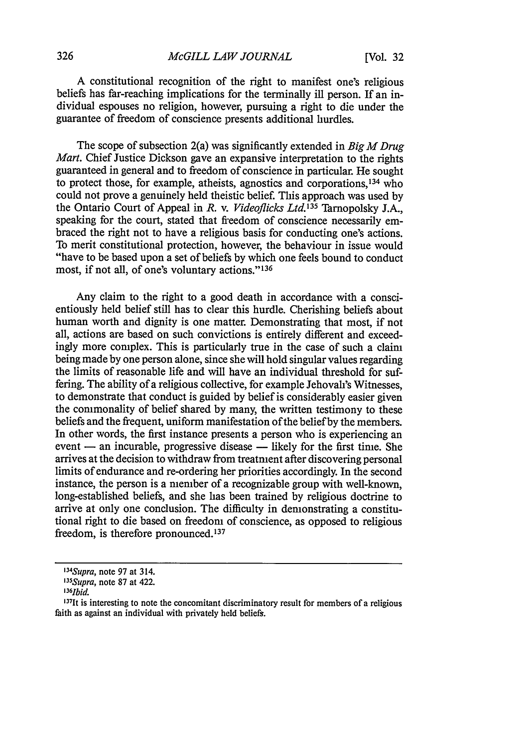A constitutional recognition of the right to manifest one's religious beliefs has far-reaching implications for the terminally ill person. If an individual espouses no religion, however, pursuing a right to die under the guarantee of freedom of conscience presents additional hurdles.

The scope of subsection 2(a) was significantly extended in *Big M Drug Mart.* Chief Justice Dickson gave an expansive interpretation to the rights guaranteed in general and to freedom of conscience in particular. He sought to protect those, for example, atheists, agnostics and corporations,<sup>134</sup> who could not prove a genuinely held theistic belief. This approach was used by the Ontario Court of Appeal in *R.* v. *Videoflicks Ltd.135* Tarnopolsky J.A., speaking for the court, stated that freedom of conscience necessarily embraced the right not to have a religious basis for conducting one's actions. To merit constitutional protection, however, the behaviour in issue would "have to be based upon a set of beliefs by which one feels bound to conduct most, if not all, of one's voluntary actions."<sup>136</sup>

Any claim to the right to a good death in accordance with a conscientiously held belief still has to clear this hurdle. Cherishing beliefs about human worth and dignity is one matter. Demonstrating that most, if not all, actions are based on such convictions is entirely different and exceedingly more complex. This is particularly true in the case of such a claim being made by one person alone, since she will hold singular values regarding the limits of reasonable life and will have an individual threshold for suffering. The ability of a religious collective, for example Jehovah's Witnesses, to demonstrate that conduct is guided by belief is considerably easier given the commonality of belief shared by many, the written testimony to these beliefs and the frequent, uniform manifestation of the belief by the members. In other words, the first instance presents a person who is experiencing an event — an incurable, progressive disease — likely for the first time. She arrives at the decision to withdraw from treatment after discovering personal limits of endurance and re-ordering her priorities accordingly. In the second instance, the person is a member of a recognizable group with well-known, long-established beliefs, and she has been trained by religious doctrine to arrive at only one conclusion. The difficulty in demonstrating a constitutional right to die based on freedom of conscience, as opposed to religious freedom, is therefore pronounced.<sup>137</sup>

*<sup>1</sup> 34 Supra,* note 97 at 314.

*<sup>&#</sup>x27; 35 Supra,* note 87 at 422.

 $^{136}$ *Ibid.* 

<sup>137</sup>It is interesting to note the concomitant discriminatory result for members of a religious faith as against an individual with privately held beliefs.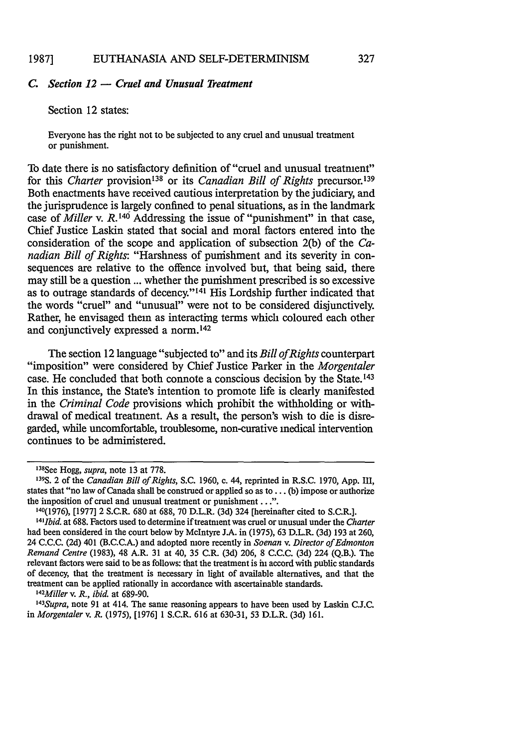## *C. Section 12* **-** *Cruel and Unusual Treatment*

### Section 12 states:

Everyone has the right not to be subjected to any cruel and unusual treatment or punishment.

To date there is no satisfactory definition of "cruel and unusual treatment" for this *Charter* provision 138 or its *Canadian Bill of Rights* precursor.<sup>139</sup> Both enactments have received cautious interpretation by the judiciary, and the jurisprudence is largely confined to penal situations, as in the landmark case of *Miller* v. R.146 Addressing the issue of "punishment" in that case, Chief Justice Laskin stated that social and moral factors entered into the consideration of the scope and application of subsection 2(b) of the *Canadian Bill of Rights:* "Harshness of punishment and its severity in consequences are relative to the offence involved but, that being said, there may still be a question ... whether the punishment prescribed is so excessive as to outrage standards of decency."<sup>141</sup> His Lordship further indicated that the words "cruel" and "unusual" were not to be considered disjunctively. Rather, he envisaged them as interacting terms which coloured each other and conjunctively expressed a norm.<sup>142</sup>

The section 12 language "subjected to" and its *Bill ofRights* counterpart "imposition" were considered by Chief Justice Parker in the *Morgentaler* case. He concluded that both connote a conscious decision by the State. <sup>43</sup> In this instance, the State's intention to promote life is clearly manifested in the *Criminal Code* provisions which prohibit the withholding or withdrawal of medical treatment. As a result, the person's wish to die is disregarded, while uncomfortable, troublesome, non-curative medical intervention continues to be administered.

*1 42 Miller v. R., ibid.* at 689-90.

<sup>143</sup>Supra, note 91 at 414. The same reasoning appears to have been used by Laskin C.J.C. in *Morgentaler v. R.* (1975), [1976] **1** S.C.R. 616 at 630-31, 53 D.L.R. (3d) 161.

<sup>138</sup> See Hogg, *supra,* note 13 at 778.

**<sup>139</sup>S.** 2 of the *Canadian Bill of Rights,* S.C. 1960, c. 44, reprinted in R.S.C. 1970, App. III, states that "no law of Canada shall be construed or applied so as to ... (b) impose or authorize the imposition of cruel and unusual treatment or punishment...". **140(1976),** [1977] 2 S.C.R. 680 at 688, 70 D.L.R. (3d) 324 [hereinafter cited to S.C.R.].

*l 4IIbid,* at 688. Factors used to determine if treatment was cruel or unusual under the *Charter* had been considered in the court below by McIntyre J.A. in (1975), 63 D.L.R. (3d) 193 at 260, 24 C.C.C. (2d) 401 (B.C.C.A.) and adopted more recently in *Soenan v. Director of Edmonton Remand Centre* (1983), 48 A.R. 31 at 40, 35 C.R. (3d) 206, 8 C.C.C. (3d) 224 (Q.B.). The relevant factors were said to be as follows: that the treatment is in accord with public standards of decency, that the treatment is necessary in light of available alternatives, and that the treatment can be applied rationally in accordance with ascertainable standards.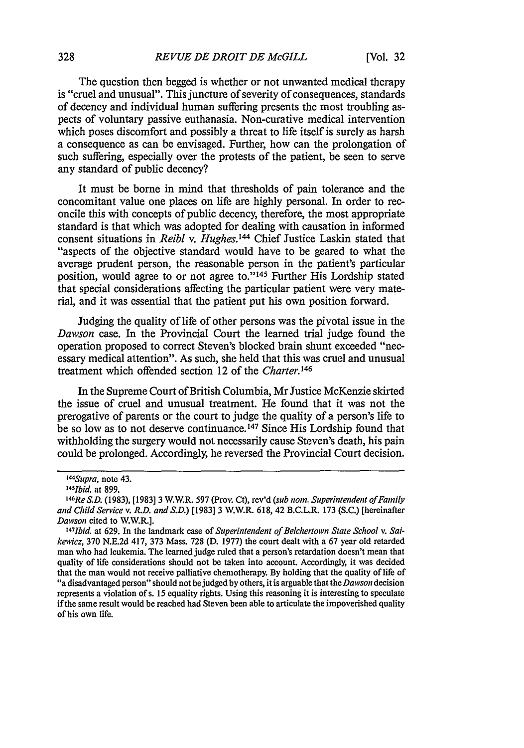The question then begged is whether or not unwanted medical therapy is "cruel and unusual". This juncture of severity of consequences, standards of decency and individual human suffering presents the most troubling aspects of voluntary passive euthanasia. Non-curative medical intervention which poses discomfort and possibly a threat to life itself is surely as harsh a consequence as can be envisaged. Further, how can the prolongation of such suffering, especially over the protests of the patient, be seen to serve any standard of public decency?

It must be borne in mind that thresholds of pain tolerance and the concomitant value one places on life are highly personal. In order to reconcile this with concepts of public decency, therefore, the most appropriate standard is that which was adopted for dealing with causation in informed consent situations in *Reibl v. Hughes.144* Chief Justice Laskin stated that "aspects of the objective standard would have to be geared to what the average prudent person, the reasonable person in the patient's particular position, would agree to or not agree to."<sup>145</sup> Further His Lordship stated that special considerations affecting the particular patient were very material, and it was essential that the patient put his own position forward.

Judging the quality of life of other persons was the pivotal issue in the *Dawson* case. In the Provincial Court the learned trial judge found the operation proposed to correct Steven's blocked brain shunt exceeded "necessary medical attention". As such, she held that this was cruel and unusual treatment which offended section 12 of the *Charter.146*

In the Supreme Court of British Columbia, Mr Justice McKenzie skirted the issue of cruel and unusual treatment. He found that it was not the prerogative of parents or the court to judge the quality of a person's life to be so low as to not deserve continuance.<sup>147</sup> Since His Lordship found that withholding the surgery would not necessarily cause Steven's death, his pain could be prolonged. Accordingly, he reversed the Provincial Court decision.

*<sup>1</sup> 44 Supra,* note 43.

*<sup>145</sup>Ibid.* at 899.

*<sup>1</sup> 46 Re S.D.* (1983), [1983] 3 W.W.R. 597 (Prov. Ct), rev'd *(sub nom. Superintendent of Family and* Child *Service v. R.D. and S.D.)* [1983] 3 W.W.R. 618, 42 B.C.L.R. 173 (S.C.) [hereinafter Dawson cited to W.W.R.].

<sup>&#</sup>x27;471bid. at 629. In the landmark case of *Superintendent of Belchertown State School v.* Sai*kewicz,* 370 N.E.2d 417, 373 Mass. 728 (D. 1977) the court dealt with a 67 year old retarded man who had leukemia. The learned judge ruled that a person's retardation doesn't mean that quality of life considerations should not be taken into account. Accordingly, it was decided that the man would not receive palliative chemotherapy. By holding that the quality of life of "a disadvantaged person" should not be judged by others, it is arguable that the *Dawson* decision represents a violation of s. 15 equality rights. Using this reasoning it is interesting to speculate if the same result would be reached had Steven been able to articulate the impoverished quality of his own life.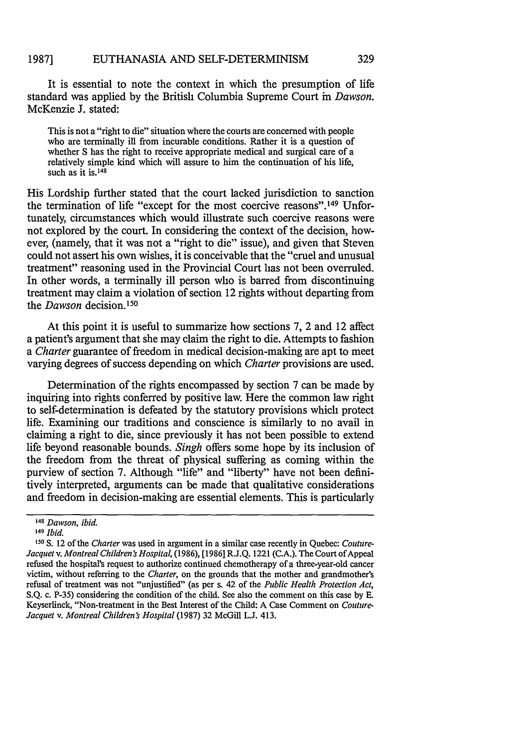#### EUTHANASIA AND SELF-DETERMINISM **1987]**

It is essential to note the context in which the presumption of life standard was applied by the British Columbia Supreme Court in *Dawson.* McKenzie J. stated:

This is not a "right to die" situation where the courts are concerned with people who are terminally ill from incurable conditions. Rather it is a question of whether S has the right to receive appropriate medical and surgical care of a relatively simple kind which will assure to him the continuation of his life, such as it **is.148**

His Lordship further stated that the court lacked jurisdiction to sanction the termination of life "except for the most coercive reasons". 49 Unfortunately, circumstances which would illustrate such coercive reasons were not explored by the court. In considering the context of the decision, however, (namely, that it was not a "right to die" issue), and given that Steven could not assert his own wishes, it is conceivable that the "cruel and unusual treatment" reasoning used in the Provincial Court has not been overruled. In other words, a terminally ill person who is barred from discontinuing treatment may claim a violation of section 12 rights without departing from the *Dawson* decision.<sup>150</sup>

At this point it is useful to summarize how sections 7, 2 and 12 affect a patient's argument that she may claim the right to die. Attempts to fashion *a Charter* guarantee of freedom in medical decision-making are apt to meet varying degrees of success depending on which *Charter* provisions are used.

Determination of the rights encompassed by section 7 can be made by inquiring into rights conferred by positive law. Here the common law right to self-determination is defeated by the statutory provisions which protect life. Examining our traditions and conscience is similarly to no avail in claiming a right to die, since previously it has not been possible to extend life beyond reasonable bounds. *Singh* offers some hope by its inclusion of the freedom from the threat of physical suffering as coming within the purview of section 7. Although "life" and "liberty" have not been definitively interpreted, arguments can be made that qualitative considerations and freedom in decision-making are essential elements. This is particularly

<sup>&</sup>lt;sup>148</sup> Dawson, ibid.

<sup>149</sup>*Ibid.*

**<sup>,5</sup>o** S. 12 of the *Charter* was used in argument in a similar case recently in Quebec: *Couture-Jacquet v. Montreal Children's Hospital,* (1986), [1986] R.J.Q. 1221 (C.A.). The Court of Appeal refused the hospital's request to authorize continued chemotherapy of a three-year-old cancer victim, without referring to the *Charter,* on the grounds that the mother and grandmother's refusal of treatment was not "unjustified" (as per s. 42 of the *Public Health Protection Act,* S.Q. c. P-35) considering the condition of the child. See also the comment on this case by **E.** Keyserlinck, "Non-treatment in the Best Interest of the Child: A Case Comment on *Couture-Jacquet v. Montreal Children's Hospital* (1987) 32 McGill L.J. 413.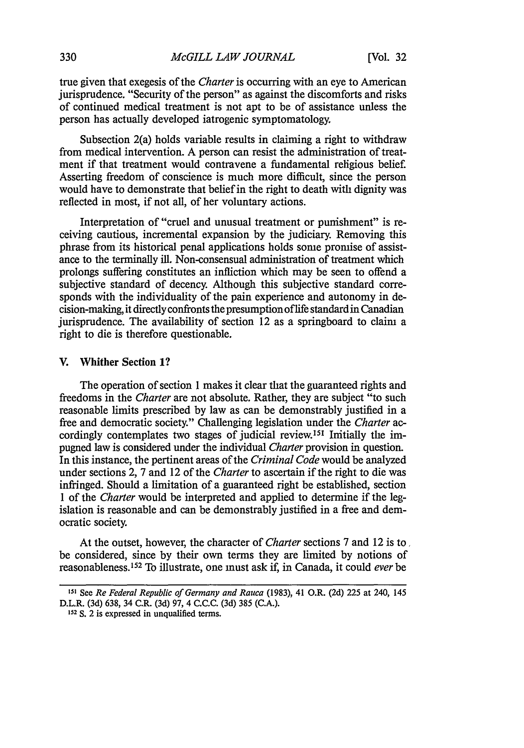true given that exegesis of the *Charter* is occurring with an eye to American jurisprudence. "Security of the person" as against the discomforts and risks of continued medical treatment is not apt to be of assistance unless the person has actually developed iatrogenic symptomatology.

Subsection 2(a) holds variable results in claiming a right to withdraw from medical intervention. A person can resist the administration of treatment if that treatment would contravene a fundamental religious belief. Asserting freedom of conscience is much more difficult, since the person would have to demonstrate that belief in the right to death with dignity was reflected in most, if not all, of her voluntary actions.

Interpretation of "cruel and unusual treatment or punishment" is receiving cautious, incremental expansion by the judiciary. Removing this phrase from its historical penal applications holds some promise of assistance to the terminally ill. Non-consensual administration of treatment which prolongs suffering constitutes an infliction which may be seen to offend a subjective standard of decency. Although this subjective standard corresponds with the individuality of the pain experience and autonomy in decision-making, it directly confronts the presumption of life standard in Canadian jurisprudence. The availability of section 12 as a springboard to claim a right to die is therefore questionable.

## V. Whither Section **1?**

The operation of section 1 makes it clear that the guaranteed rights and freedoms in the *Charter* are not absolute. Rather, they are subject "to such reasonable limits prescribed by law as can be demonstrably justified in a free and democratic society." Challenging legislation under the *Charter* accordingly contemplates two stages of judicial review.<sup>151</sup> Imitially the impugned law is considered under the individual *Charter* provision in question. In this instance, the pertinent areas of the *Criminal Code* would be analyzed under sections 2, 7 and 12 of the *Charter* to ascertain if the right to die was infringed. Should a limitation of a guaranteed right be established, section 1 of the *Charter* would be interpreted and applied to determine if the legislation is reasonable and can be demonstrably justified in a free and democratic society.

At the outset, however, the character of *Charter* sections 7 and 12 is to, be considered, since by their own terms they are limited by notions of reasonableness.' 52 To illustrate, one must ask if, in Canada, it could *ever* be

**<sup>151</sup>**See *Re Federal Republic of Germany and Rauca* **(1983),** 41 O.R. **(2d) 225** at 240, 145 D.L.R. **(3d) 638,** 34 C.R. **(3d) 97,** 4 **C.C.C. (3d) 385 (C.A.).**

**<sup>152</sup>**S. 2 is expressed in unqualified terms.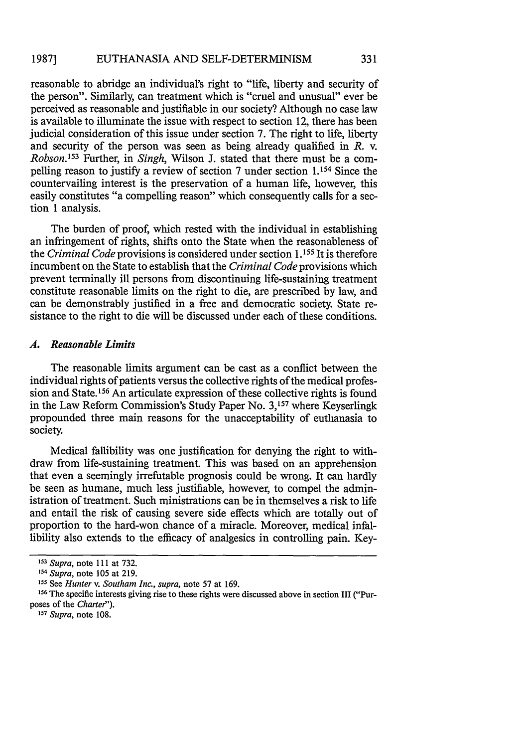#### EUTHANASIA AND SELF-DETERMINISM **1987]**

reasonable to abridge an individual's right to "life, liberty and security of the person". Similarly, can treatment which is "cruel and unusual" ever be perceived as reasonable and justifiable in our society? Although no case law is available to illuminate the issue with respect to section 12, there has been judicial consideration of this issue under section **7.** The right to life, liberty and security of the person was seen as being already qualified in  $R$ . v. *Robson.<sup>153</sup>*Further, in *Singh,* Wilson **J.** stated that there must be a compelling reason to justify a review of section **7** under section 1.154 Since the countervailing interest is the preservation of a human life, however, this easily constitutes "a compelling reason" which consequently calls for a section 1 analysis.

The burden of proof, which rested with the individual in establishing an infringement of rights, shifts onto the State when the reasonableness of the *Criminal Code* provisions is considered under section **1.155** It is therefore incumbent on the State to establish that the *Criminal Code* provisions which prevent terminally ill persons from discontinuing life-sustaining treatment constitute reasonable limits on the right to die, are prescribed **by** law, and can be demonstrably justified in a free and democratic society. State resistance to the right to die will be discussed under each of these conditions.

## *A. Reasonable Limits*

The reasonable limits argument can be cast as a conflict between the individual rights of patients versus the collective rights of the medical profession and State.<sup>156</sup> An articulate expression of these collective rights is found in the Law Reform Commission's Study Paper No. **3,157** where Keyserlingk propounded three main reasons for the unacceptability of euthanasia to society.

Medical fallibility was one justification for denying the right to withdraw from life-sustaining treatment. This was based on an apprehension that even a seemingly irrefutable prognosis could be wrong. It can hardly be seen as humane, much less justifiable, however, to compel the administration of treatment. Such ministrations can be in themselves a risk to life and entail the risk of causing severe side effects which are totally out of proportion to the hard-won chance of a miracle. Moreover, medical infallibility also extends to the efficacy of analgesics in controlling pain. Key-

*<sup>153</sup>Supra,* note 111 at 732.

*<sup>154</sup> Supra,* note 105 at 219.

**<sup>155</sup>** See *Hunter v. Southam Inc., supra,* note 57 at 169.

<sup>&</sup>lt;sup>1</sup> See *Flutter V. Southum Inc., Supra*, note 37 at 109.<br><sup>156</sup> The specific interests giving rise to these rights were discussed above in section III ("Purposes of the *Charter").*

*<sup>157</sup>Supra,* note 108.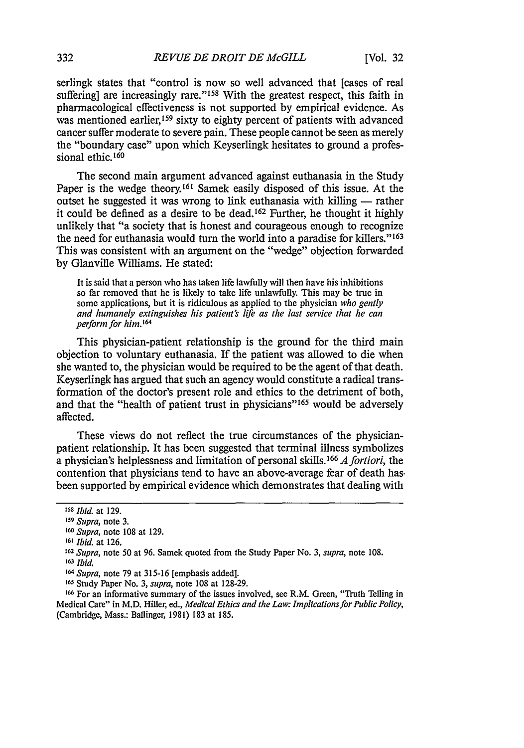serlingk states that "control is now so well advanced that [cases of real suffering] are increasingly rare."<sup>158</sup> With the greatest respect, this faith in pharmacological effectiveness is not supported by empirical evidence. As was mentioned earlier,<sup>159</sup> sixty to eighty percent of patients with advanced cancer suffer moderate to severe pain. These people cannot be seen as merely the "boundary case" upon which Keyserlingk hesitates to ground a professional ethic.<sup>160</sup>

The second main argument advanced against euthanasia in the Study Paper is the wedge theory.<sup>161</sup> Samek easily disposed of this issue. At the outset he suggested it was wrong to link euthanasia with killing — rather it could be defined as a desire to be dead. 162 Further, he thought it highly unlikely that "a society that is honest and courageous enough to recognize the need for euthanasia would turn the world into a paradise for killers."<sup>163</sup> This was consistent with an argument on the "wedge" objection forwarded by Glanville Williams. He stated:

It is said that a person who has taken life lawfully will then have his inhibitions so far removed that he is likely to take life unlawfully. This may be true in some applications, but it is ridiculous as applied to the physician *who gently and humanely extinguishes his patient's life as the last service that he can perform for him. '64*

This physician-patient relationship is the ground for the third main objection to voluntary euthanasia. If the patient was allowed to die when she wanted to, the physician would be required to be the agent of that death. Keyserlingk has argued that such an agency would constitute a radical transformation of the doctor's present role and ethics to the detriment of both, and that the "health of patient trust in physicians"<sup>165</sup> would be adversely affected.

These views do not reflect the true circumstances of the physicianpatient relationship. It has been suggested that terminal illness symbolizes a physician's helplessness and limitation of personal skills. **1 <sup>66</sup>***A fortiori,* the contention that physicians tend to have an above-average fear of death has. been supported by empirical evidence which demonstrates that dealing with

*<sup>158</sup>Ibid.* at 129.

**<sup>159</sup>** *Supra,* note 3.

*<sup>160</sup>Supra,* note 108 at 129.

**<sup>161</sup>***Ibid.* at 126.

*<sup>162</sup>Supra,* note 50 at 96. Samek quoted from the Study Paper No. 3, *supra,* note 108.

*<sup>163</sup>Ibid.*

*<sup>164</sup> Supra,* note 79 at 315-16 [emphasis added].

**<sup>165</sup>**Study Paper No. 3, *supra,* note 108 at 128-29.

**<sup>166</sup>**For an informative summary of the issues involved, see R.M. Green, "Truth Telling in Medical Care" in M.D. Hiller, ed., *Medical Ethics and the Law: Implications for Public Policy,* (Cambridge, Mass.: Ballinger, 1981) 183 at 185.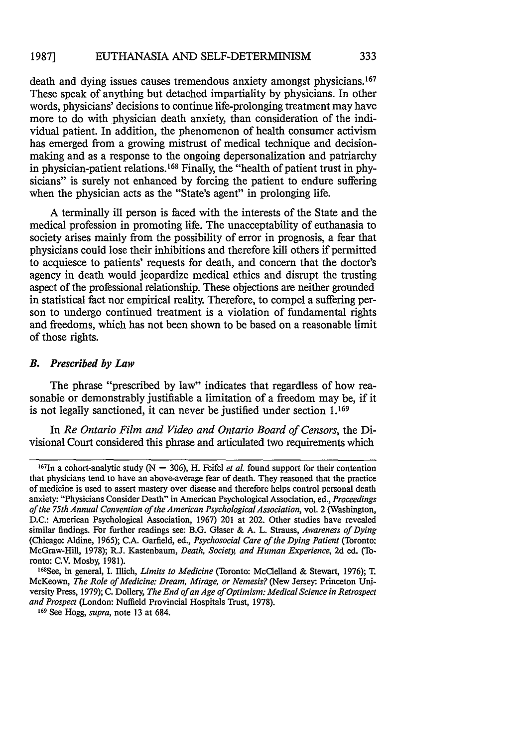death and dying issues causes tremendous anxiety amongst physicians. <sup>167</sup> These speak of anything but detached impartiality by physicians. In other words, physicians' decisions to continue life-prolonging treatment may have more to do with physician death anxiety, than consideration of the individual patient. In addition, the phenomenon of health consumer activism has emerged from a growing mistrust of medical technique and decisionmaking and as a response to the ongoing depersonalization and patriarchy in physician-patient relations. 168 Finally, the "health of patient trust in physicians" is surely not enhanced by forcing the patient to endure suffering when the physician acts as the "State's agent" in prolonging life.

A terminally ill person is faced with the interests of the State and the medical profession in promoting life. The unacceptability of euthanasia to society arises mainly from the possibility of error in prognosis, a fear that physicians could lose their inhibitions and therefore kill others if permitted to acquiesce to patients' requests for death, and concern that the doctor's agency in death would jeopardize medical ethics and disrupt the trusting aspect of the professional relationship. These objections are neither grounded in statistical fact nor empirical reality. Therefore, to compel a suffering person to undergo continued treatment is a violation of fundamental rights and freedoms, which has not been shown to be based on a reasonable limit of those rights.

#### *B. Prescribed by Law*

The phrase "prescribed by law" indicates that regardless of how reasonable or demonstrably justifiable a limitation of a freedom may be, if it is not legally sanctioned, it can never be justified under section 1.169

In *Re Ontario Film and Video and Ontario Board of Censors,* the Divisional Court considered this phrase and articulated two requirements which

<sup>&</sup>lt;sup>167</sup>In a cohort-analytic study (N = 306). H. Feifel *et al.* found support for their contention that physicians tend to have an above-average fear of death. They reasoned that the practice of medicine is used to assert mastery over disease and therefore helps control personal death anxiety: "Physicians Consider Death" in American Psychological Association, ed., *Proceedings of the 75th Annual Convention of the American Psychological Association,* vol. 2 (Washington, D.C.: American Psychological Association, 1967) 201 at 202. Other studies have revealed similar findings. For further readings see: B.G. Glaser & A. L. Strauss, *Awareness of Dying* (Chicago: Aldine, 1965); C.A. Garfield, ed., *Psychosocial Care of the Dying Patient* (Toronto: McGraw-Hill, 1978); R.J. Kastenbaum, *Death, Society, and Human Experience,* 2d ed. (Toronto: C.V. Mosby, 1981).

<sup>168</sup>See, in general, I. Illich, *Limits to Medicine* (Toronto: McClelland & Stewart, 1976); T. McKeown, *The Role of Medicine: Dream, Mirage, or Nemesis?* (New Jersey: Princeton University Press, 1979); C. Dollery, *The End of an Age of Optimism: Medical Science in Retrospect and Prospect* (London: Nuffield Provincial Hospitals Trust, 1978).

**<sup>169</sup>** See Hogg, *supra,* note 13 at 684.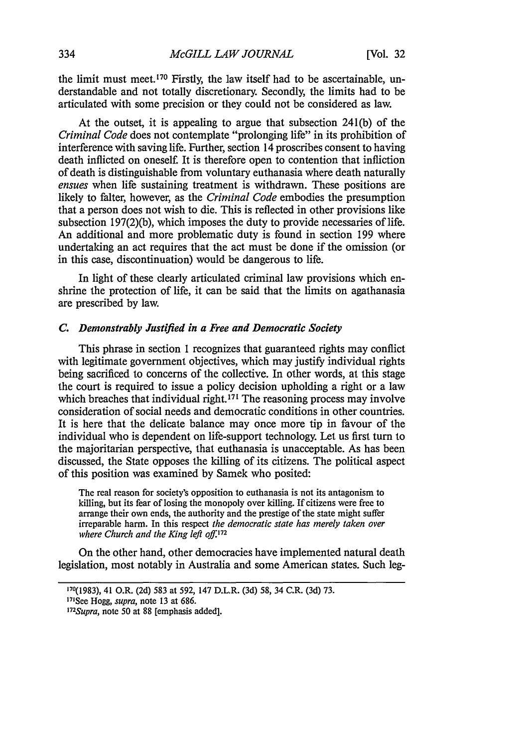the limit must meet.<sup>170</sup> Firstly, the law itself had to be ascertainable, understandable and not totally discretionary. Secondly, the limits had to be articulated with some precision or they could not be considered as law.

At the outset, it is appealing to argue that subsection 241(b) of the *Criminal Code* does not contemplate "prolonging life" in its prohibition of interference with saving life. Further, section 14 proscribes consent to having death inflicted on oneself. It is therefore open to contention that infliction of death is distinguishable from voluntary euthanasia where death naturally *ensues* when life sustaining treatment is withdrawn. These positions are likely to falter, however, as the *Criminal Code* embodies the presumption that a person does not wish to die. This is reflected in other provisions like subsection 197(2)(b), which imposes the duty to provide necessaries of life. An additional and more problematic duty is found in section 199 where undertaking an act requires that the act must be done if the omission (or in this case, discontinuation) would be dangerous to life.

In light of these clearly articulated criminal law provisions which enshrine the protection of life, it can be said that the limits on agathanasia are prescribed by law.

### *C. Demonstrably Justified in a Free and Democratic Society*

This phrase in section **1** recognizes that guaranteed rights may conflict with legitimate government objectives, which may justify individual rights being sacrificed to concerns of the collective. In other words, at this stage the court is required to issue a policy decision upholding a right or a law which breaches that individual right.<sup>171</sup> The reasoning process may involve consideration of social needs and democratic conditions in other countries. It is here that the delicate balance may once more tip in favour of the individual who is dependent on life-support technology. Let us first turn to the majoritarian perspective, that euthanasia is unacceptable. As has been discussed, the State opposes the killing of its citizens. The political aspect of this position was examined **by** Samek who posited:

The real reason for society's opposition to euthanasia is not its antagonism to killing, but its fear of losing the monopoly over killing. If citizens were free to arrange their own ends, the authority and the prestige of the state might suffer irreparable harm. In this respect *the democratic state has merely taken over where Church and the King left off.<sup>72</sup>*

On the other hand, other democracies have implemented natural death legislation, most notably in Australia and some American states. Such leg-

**<sup>170(1983),</sup>** 41 O.R. (2d) 583 at 592, 147 D.L.R. (3d) 58, 34 C.R. (3d) 73.

<sup>171</sup> See Hogg, *supra,* note 13 at 686.

*<sup>&#</sup>x27; 72 Supra,* note 50 at 88 [emphasis added].